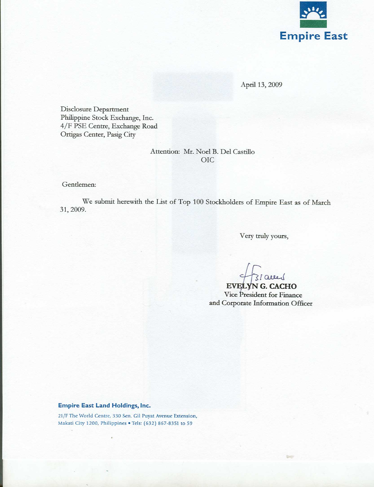

April 13, 2009

Disclosure Department Philippine Stock Exchange, Inc. 4/F PSE Centre, Exchange Road Ortigas Center, Pasig City

## Attention: Mr. Noel B. Del Castillo **OIC**

Gentlemen:

We submit herewith the List of Top 100 Stockholders of Empire East as of March 31, 2009.

Very truly yours,

Talled

EVELYN G. CACHO Vice President for Finance and Corporate Information Officer

## **Empire East Land Holdings, Inc.**

21/F The World Centre, 330 Sen. Gil Puyat Avenue Extension, Makati City 1200, Philippines . Tels: (632) 867-8351 to 59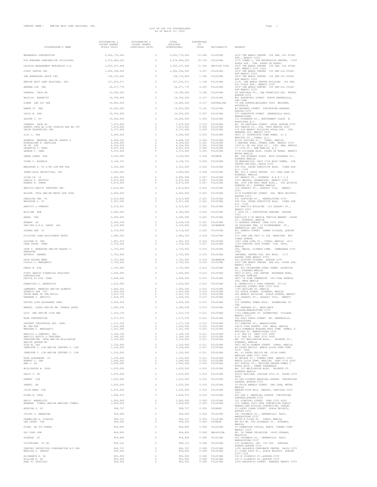## LIST OF TOP 100 STOCKHOLDERS As Of March 31, 2009

| STOCKHOLDER'S NAME                                                             | OUTSTANDING &<br>ISSUED SHARES<br>(FULLY PAID) | OUTSTANDING &<br>ISSUED SHARES<br>(PARTIALLY PAID) | TOTAL<br>HOLDINGS<br>(SUBSCRIBED)   | PERCENTAGE<br>TO<br>TOTAL | NATIONALITY                  | ADDRESS                                                                                                 |
|--------------------------------------------------------------------------------|------------------------------------------------|----------------------------------------------------|-------------------------------------|---------------------------|------------------------------|---------------------------------------------------------------------------------------------------------|
| MEGAWORLD CORPORATION                                                          | 5,022,770,249                                  | $\ddot{\phantom{0}}$                               | 5,022,770,249                       | 47.284                    | FILIPINO                     | 28/F THE WORLD CENTRE 330 SEN. GIL PUYAT                                                                |
| PCD NOMINEE CORPORATION (FILIPINO)                                             | 2,672,484,200                                  | 0                                                  | 2,672,484,200                       | 25.159                    | FILIPINO                     | AVE., MAKATI CITY<br>37/F TOWER I, THE ENTERPRISE CENTER, 6766                                          |
| CALYPSO MANAGEMENT WORLDWIDE S.A.                                              | 1,205,107,484                                  | 0                                                  | 1,205,107,484                       | 11.345                    | BRITISH VIRG                 | AYALA AVE. COR. PASEO DE ROXAS,<br>28/F THE WORLD CENTRE 330 SEN. GIL PUYAT                             |
| FIRST CENTRO INC.                                                              | 1,002,394,500                                  | 0                                                  | 1,002,394,500                       | 9.437                     | <b>FILIPINO</b>              | AVE. MAKATI CITY 1226<br>28/F THE WORLD CENTER 330 SEN GIL PHYAT<br>AVE MAKATI CITY                     |
| THE ANDRESONS GROUP INC.                                                       | 138, 133, 820                                  | 0                                                  | 138, 133, 820                       | 1.300                     | FILIPINO                     | 28/F THE WORLD CENTER 330 SEN GIL PUYAT<br>AVE MAKATI CITY                                              |
| EMPIRE EAST LAND HOLDINGS, INC.                                                | 127, 256, 071                                  | 0                                                  | 127, 256, 071                       | 1.198                     | FILIPINO                     | 21/F, THE WORLD CENTRE BUILDING 330 SEN.<br>GIL PUYAT AVE., MAKATI CITY                                 |
| ANDREW LIM TAN                                                                 | 24, 277, 776                                   | $\theta$                                           | 24, 277, 776                        | 0.229                     | FILIPINO                     | 28/F THE WORLD CENTER 330 SEN GIL PUYAT<br>AVE MAKATI CITY                                              |
| CONRADO CHUA SR.                                                               | 19,780,000                                     | 0                                                  | 19,780,000                          | 0.186                     | FILIPINO                     | 28 SANTIAGO ST., SAN FRANCISCO DEL MONTE,<br>OUEZON CITY                                                |
| BASILIO BARRETTO<br>SIMON LEE SUI HEE                                          | 16,704,900<br>16,685,206                       | 0<br>0                                             | 16,704,900<br>16,685,206            | 0.157<br>0.157            | FILIPINO<br>AUSTRALIAN       | #61 ROOSEVELT STREET NORTH GREENHILLS,<br>SAN JUAN<br>78 THE AVENUE; NEDLANDS 6009 WESTERN,             |
| RAMON UY ONG                                                                   | 14,950,000                                     | 0                                                  | 14,950,000                          | 0.141                     | <b>FILIPINO</b>              | AUSTRALIA<br>#9 NAVARRO STREET CORINTHIAN GARDENS                                                       |
| LUCIO W. YAN                                                                   | 10,350,000                                     | 0                                                  | 10.350.000                          | 0.097                     | FILIPINO                     | OUEZON CITY<br>537 LAFAYETTE STREET GREENHILLS EAST.                                                    |
| LESTER C. YU                                                                   | 10,000,000                                     | $\circ$                                            | 10,000,000                          | 0.094                     | FILIPINO                     | MANDALUYONG<br>115 FLORENCE ST., MONTGOMERY PLACE E.                                                    |
| CONRADO CHUA SR.                                                               | 7,475,000                                      | 0                                                  | 7,475,000                           | 0.070                     | FILIPINO                     | RODRIGUEZ O.C.<br>NO. 28 SANTIAGO STREET SFDM, QUEZON CITY                                              |
| SAMUEL CHUA NG &/OR JOCELYN NGO NG ITF<br>UNION PROPERTIES INC.                | 7,015,000<br>6,157,808                         | 0<br>$\circ$                                       | 7,015,000<br>6,157,808              | 0.066<br>0.058            | FILIPINO<br>FILIPINO         | 809 ONGPIN ST., STA. CRUZ MANILA 1003<br>6/F SSS MAKATI BUILDING AYALA AVE. COR.                        |
| LILY L. TAN                                                                    | 5.646,500                                      | $\circ$                                            | 5,646,500                           | 0.053                     | FILIPINO                     | HERRERA STS. MAKATI CITY<br>UNIT 37 INTERSTATE TOWN HOMES 21-C                                          |
| ALBERTO MENDOZA AND/OR JEANIE C.<br>EVANGELINE R. ABDULLAH                     | 4.444.106<br>4,324,000                         | $\circ$<br>$^{\circ}$                              | 4,444,106<br>4,324,000              | 0.042<br>0.041            | FILIPINO<br>FILIPINO         | BENITEZ ST., CUBAO, Q.C.<br>#1145 AGUILAR ST., TONDO, MANILA<br>3 HARVARD ROAD, FORBES PARK MAKATI CITY |
| YE SE SZE<br>VALENTIN T. KHOE                                                  | 4,324,000<br>4,207,434                         | $^{\circ}$<br>0                                    | 4,324,000<br>4,207,434              | 0.041<br>0.040            | FILIPINO<br>FILIPINO         | 1933 A. DE LAS ALAS ST., STA. ANA, MANILA<br>27 11TH ST., NEW MANILA, Q.C.                              |
| GEORGE T. YANG                                                                 | 3,675,400                                      | 0                                                  | 3,675,400                           | 0.035                     | FILIPINO                     | 17/F CITIBANK BLDG. PASEO DE ROXAS MAKATI<br>METRO MANILA                                               |
| ZHENG CHANG HUA                                                                | 3,220,000                                      | $\theta$                                           | 3,220,000                           | 0.030                     | CHINESE                      | RM. 608 BINONDO PLAZA #850 ALVARADO ST.,<br>BINONDO MANILA                                              |
| TIONG C. ROSARIO                                                               | 3.138.791                                      | $^{\circ}$                                         | 3,138,791                           | 0.030                     | FILIPINO                     | TR MERCANTILE, UNIT 1704 EAST TOWER, PSE<br>CENTER ORTIGAS, PASIG CITY                                  |
| MAXIMINO S. UY &/OR LIM HUE HUA                                                | 3,105,000                                      | 0                                                  | 3,105,000                           | 0.029                     | FILIPINO                     | 6TH FLR. CEDAR EXECUTIVE BLDG. TIMOG AVE.<br>Q.C. 1100                                                  |
| TRANS-ASIA SECURITIES, INC.                                                    | 3,000,000                                      | 0                                                  | 3,000,000                           | 0.028                     | FILIPINO                     | RM. 601-S STATE CENTER 333 JUAN LUNA ST.<br>BINONDO, MANILA                                             |
| LUISA CO LI<br>CARLOS D. APOSTOL                                               | 2,902,908<br>2,875,000                         | $\theta$<br>$^{\circ}$                             | 2,902,908<br>2,875,000              | 0.027<br>0.027            | <b>FILIPINO</b><br>FILIPINO  | 627 MADRID ST., BINONDO MANILA<br>2327 MACOPA, DASMARINAS MAKATI CITY                                   |
| EDWARD N. CHEOK                                                                | 2,875,000                                      | $^{\circ}$<br>$\ddot{\phantom{0}}$                 | 2,875,000                           | 0.027                     | FILIPINO                     | RM. 1005 FAR EAST BANK BLDG., 560 QUINTIN<br>PAREDES ST., BINONDO MANILA                                |
| ABOITIZ EQUITY VENTURES INC.<br>WILSON CHUA AND/OR BECKY QUE CHUA              | 2,813,843<br>2,645,000                         | 0                                                  | 2,813,843<br>2,645,000              | 0.026<br>0.025            | FILIPINO<br>FILIPINO         | 110 LEGASPI ST., LEGASPI VILL. MAKATI<br>CITY<br>42-B FLORENTINO STREET STA. MESA HEIGHTS,              |
| CAROLINA ONG YU                                                                | 2,415,000                                      | $\theta$                                           | 2,415,000                           | 0.023                     | <b>FILIPINO</b>              | QUEZON CITY<br>931 SCHUYLER ST., MANDALUYONG CITY                                                       |
| MAXIMINO S. UY                                                                 | 2,357,500                                      | 0                                                  | 2,357,500                           | 0.022                     | <b>FILIPINO</b>              | 6TH FLR. CEDAR EXECUTIVE BLDG. TIMOG AVE.<br>Q.C. 1100                                                  |
| ABOITIZ & COMPANY                                                              | 2.314.421                                      | 0                                                  | 2,314,421                           | 0.022                     | FILIPINO                     | 2/F ABOITIZ BUILDING 110 LEGASPI ST.,<br>MAKATI CITY                                                    |
| WILLIAM HOW                                                                    | 2,300,000                                      | $\ddot{\phantom{0}}$                               | 2,300,000                           | 0.022                     | FILIPINO                     | 5 JOYA ST., CORINTHIAN GARDENS QUEZON<br>CITY                                                           |
| ANGEL TAN                                                                      | 2,300,000                                      | 0                                                  | 2,300,000                           | 0.022                     | FILIPINO                     | PASILLIO F-30 MANILA TEXTILE MARKET SOLER<br>ST., BINONDO, MANILA                                       |
| EDWARD GO<br>SAN-TEH A.K.A. DANIE LAI                                          | 2,249,538<br>2,129,800                         | 0<br>0                                             | 2,249,538<br>2,129,800              | 0.021<br>0.020            | <b>FILIPINO</b><br>TAIWANESE | 71 GORORDO AVENUE CEBU CITY 6000<br>3A GOLDLAND TWR, 10 EISENHOWEER ST.,                                |
| SUSANO SEE YU                                                                  | 2,116,000                                      | $\ddot{\phantom{0}}$                               | 2,116,000                           | 0.020                     | FILIPINO                     | GREENHILLS SAN JUAN<br>#11 DAMPOL STREET DAMAR VILLAGE, QUEZON                                          |
| FILIPINO LOAN ASSISTANCE GROUP                                                 | 1,906,320                                      | 0                                                  | 1,906,320                           | 0.018                     | FILIPINO                     | CITY<br>C/O JOSE LEE UNIT II 24K MANSIONS #45                                                           |
| LUCIANO H. TAN                                                                 | 1,901,354                                      | $\theta$                                           | 1,901,354                           | 0.018                     | <b>FILIPINO</b>              | TIMOG AVENUE<br>1043 JUAN LUNA ST., TONDO, MANILA 1013                                                  |
| CHAK CHING CHAN<br>JOSE S. BANGAYAN AND/OR RAQUEL T.                           | 1,759,500<br>1,733,050                         | $^{\circ}$<br>$\circ$                              | 1,759,500<br>1,733,050              | 0.017<br>0.016            | FILIPINO<br>FILIPINO         | 1539 DOROTEO JOSE STREET STA. CRUZ,<br>MANILA<br>STA. MARIA, CLIMACO COMP. ZAMBOANGA CITY               |
| BANGAYAN<br>ANTONIO ABRERA                                                     | 1,725,000                                      | $\ddot{\phantom{0}}$                               | 1,725,000                           | 0.016                     | FILIPINO                     | 7000<br>INFOMAN, GROUND FLR. MJL BLDG. 1175                                                             |
| CHIN HSIANG WANG                                                               | 1,725,000                                      | $\ddot{\phantom{0}}$                               | 1,725,000                           | 0.016                     | TAIWANESE                    | PASONG TAMO MAKATI CITY<br>422 QUIRINO HIGHWAY QUEZON CITY                                              |
| CIRILO L. MANLANGIT                                                            | 1,725,000                                      | $^{\circ}$                                         | 1,725,000                           | 0.016                     | FILIPINO                     | 28/F THE WORLD CENTER SEN GIL. PUYAT AVE.<br>MAKATI CITY                                                |
| PABLO N. PUA                                                                   | 1,725,000                                      | $\circ$                                            | 1,725,000                           | 0.016                     | FILIPINO                     | RM. 803 CHINATOWN STEEL TOWER ASUNCION<br>$\texttt{ST.}$ , $\texttt{BINONDO}$ MANILA                    |
| FIRST ABACUS FINANCIAL HOLDINGS<br>CORPORATION                                 | 1,650,000                                      | $\circ$                                            | 1,650,000                           | 0.016                     | FILIPINO                     | UNIT E-3001, PSE CENTRE EXCHANGE ROAD,<br>ORTIGAS COMPLEX                                               |
| PACITA DY GIN CHAN                                                             | 1,644,500                                      | $\ddot{\phantom{0}}$                               | 1,644,500                           | 0.015                     | FILIPINO                     | UNIT 34 PINA TOWNHOUSE 500 PINA AVENUE,<br>STA. MESA MANILA                                             |
| FRANCISCO L. BENEDICTO                                                         | 1,610,000                                      | 0<br>$\theta$                                      | 1,610,000                           | 0.015<br>0.015            | FILIPINO<br><b>FILIPINO</b>  | B. BENEDICTO & SONS COMPANY 99-101<br>PLARIDEL STREET CEBU CITY 6000                                    |
| LAWRENCE MENDOZA AND/OR ALBERTO<br>LEONCIO TAN TIU<br>UNION BANK OF THE PHILS. | 1,583,320<br>1,495,000<br>1.437.730            | $^{\circ}$<br>$^{\circ}$                           | 1,583,320<br>1,495,000<br>1,437,730 | 0.014<br>0.014            | <b>FILIPINO</b><br>FILIPINO  | 1145 AGUILAR ST. MANILA<br>522 NUEVA STREET BINONDO, MANILA<br>SSS MAKATI BUILDING AYALA AVENUE, MAKATI |
| ERRAMON I. ABOITIZ                                                             | 1,418,354                                      | 0                                                  | 1,418,354                           | 0.013                     | FILIPINO                     | 110 LEGASPI ST., LEGASPI VILL. MAKATI<br>CITY                                                           |
| UNITED LIFE ASSURANCE CORP.                                                    | 1,405,300                                      | 0                                                  | 1,405,300                           | 0.013                     | FILIPINO                     | 6/F FEDERAL TOWER BLDG. DASMARINAS ST.<br>COR.                                                          |
| MANUEL LOPEZ AND/OR MA. TERESA LOPEZ                                           | 1,380,638                                      | 0                                                  | 1,380,638                           | 0.013                     | FILIPINO                     | 841 HARVARD ST., WACK-WACK<br>VILLAGE, MANDALUYONG CITY                                                 |
| LUIS ANG AND/OR LISA ANG                                                       | 1,312,150                                      | 0                                                  | 1,312,150                           | 0.012                     | FILIPINO                     | 1333 CABALLERO ST. DASMARINAS VILLAGE,<br>MAKA<br>CITY                                                  |
| EDAN CORPORATION                                                               | 1,277,972                                      | $\mathbb O$                                        | 1,277,972                           | 0.012                     | FILIPINO                     | 562 HOLY CROSS STREET BO. GREENHILLS,<br>MANDALUYONG                                                    |
| GUEVENT INDUSTRIAL DEV. CORP.<br>WU JEN KOK<br>BERSABE C. MANLANGIT            | 1,271,164<br>1,265,000                         | $\mathbb O$<br>0<br>$\circ$                        | 1,271,164<br>1,265,000              | 0.012<br>0.012<br>0.012   | FILIPINO<br>FILIPINO         | 49 LIBERTAD ST., MANDALUYONG<br>448-B PINA AVENUE STA. MESA, MANILA                                     |
| ABOITIZ & COMPANY, INC.                                                        | 1,251,660<br>1,189,100                         | $\circ$                                            | 1,251,660<br>1,189,100              | 0.011                     | FILIPINO<br>FILIPINO         | #619 GUMAMELA HAGDANG BATO TOWN HOMES, F.<br>ORTIGAS ST. MANDALUYONG CITY<br>P.O. BOX 65 CEBU CITY 6000 |
| ABOITIZ EQUITY & VENTURES<br>CONSTANTINO CHUA AND/OR WILLINGTON                | 1,189,100<br>1,150,000                         | $^{\circ}$<br>$^{\circ}$                           | 1,189,100<br>1,150,000              | 0.011<br>0.011            | FILIPINO<br>FILIPINO         | P.O. BOX 65 CEBU CITY 6000<br>RM. 307 WELLINGTON BLDG., ORIENTE ST.,                                    |
| AND/OR GEORGE WY<br>SISO M. LAO                                                | 1,150,000                                      | 0                                                  | 1,150,000                           | 0.011                     | FILIPINO                     | BINONDO, MANILA<br>UNIT B2154 ALMEDA STREET TONDO, MANILA                                               |
| JENNIFER C. LIM AND/OR JEFFREY C. LIM                                          | 1,150,000                                      | 0                                                  | 1,150,000                           | 0.011                     | FILIPINO                     | 44 PASEO EMILIO MARIA LUISA PARK CEBU<br>CITY 6000                                                      |
| JENNIFER C. LIM AND/OR JEFFREY C. LIM                                          | 1,150,000                                      | $\circ$                                            | 1,150,000                           | 0.011                     | FILIPINO                     | NO. 41 PASEO EMILIO MA. LUISA PARK,<br>BANILAD CEBU CITY 6000                                           |
| ROSA ALEXANDRA UY<br>ROBERT C. TAN                                             | 1,150,000<br>1,094,662                         | $\circ$<br>$^{\circ}$                              | 1,150,000<br>1,094,662<br>1,092,500 | 0.011<br>0.010            | FILIPINO<br><b>FILIPINO</b>  | #6 MOLAVE ST., FORBES PARK MAKATI CITY<br>MARIA LUISA PARK, BANILAD CEBU CITY 6000                      |
| ANA L. GO<br>WILLINGTON W. CHUA                                                | 1,092,500                                      | $^{\circ}$<br>0                                    | 1,035,000                           | 0.010                     | FILIPINO                     | #23 ORCHID ST., BAYVIEW GARDEN HOMES I<br>ROXAS BLVD., TAMBO PARANAQUE                                  |
| SALLY T. GO                                                                    | 1,035,000<br>1,035,000                         | $\theta$                                           | 1,035,000                           | 0.010<br>0.010            | FILIPINO<br>FILIPINO         | RM. 307 WELLINGTON BLDG. ORIENTE ST.<br>BINONDO MANILA<br>#1010 BASILAN, INSULAR VILL.II DAVAO CITY     |
| HUBERT LIM                                                                     | 1.035.000                                      | 0                                                  | 1,035,000                           | 0.010                     | FILIPINO                     | 8000<br>44 DON VICENTE MADRIGAL AVENUE CORINTHIAN                                                       |
| SAMUEL NG                                                                      | 1,035,000                                      | $\ddot{\phantom{0}}$                               | 1,035,000                           | 0.010                     | <b>FILIPINO</b>              | GARDEN, OUEZON CITY<br>54 FELIX MANALO STREET SAN JUAN, METRO                                           |
| JULIE WONG PUA                                                                 | 1,035,000                                      | 0                                                  | 1,035,000                           | 0.010                     | FILIPINO                     | MANILA<br>MANLAR RICE MILL MABINI, SANTIAGO CITY                                                        |
| FLORA B. CHUA                                                                  | 1,028,972                                      | $\theta$                                           | 1,028,972                           | 0.010                     | FILIPINO                     | 3311<br>#35 DON V. MADRIGAL AVENUE CORINTHIAN                                                           |
| EMILY BENEDICTO                                                                | 1,000,000                                      | 0                                                  | 1,000,000                           | 0.009                     | FILIPINO                     | GARDENS, QUEZON CITY<br>101 PLARIDEL STREET CEBU CITY 6000                                              |
| BERNARD TIMBOL AND/OR MARICAR TIMBOL                                           | 1,000,000                                      | $^{\circ}$                                         | 1,000,000                           | 0.009                     | FILIPINO                     | C/O TIMBOL GIFT SHOP CONCEPCION PUBLIC<br>MARKET, SAN NICOLAS CONCEPCION, TARLAC                        |
| WINSTON S. CO<br>JULIET U. BANGAYAN                                            | 998,707<br>920,000                             | $\ddot{\phantom{0}}$<br>0                          | 998,707<br>920,000                  | 0.009<br>0.009            | CHINESE<br>FILIPINO          | 23 LOPEZ JUANA STREET AYALA HEIGHTS,<br>QUEZON CITY<br>395 COLUMBIA ST., GREENHILLS EAST,               |
| CARMELINO O. DIONIDO                                                           | 909,121                                        | 0                                                  | 909,121                             | 0.009                     | <b>FILIPINO</b>              | MANDALUYONG CITY<br>#2948-A PILAR ST. TONDO, MANILA                                                     |
| LEE CHUNG CUA                                                                  | 908,500                                        | $\circ$                                            | 908,500                             | 0.009                     | CHINESE                      | RM 409 NO. 842 ALVARADO ST. BINONDO,<br>MANILA                                                          |
| FLORA NG SIU KHENG                                                             | 864,800                                        | 0                                                  | 864,800                             | 0.008                     | FILIPINO                     | 23 CAMBRIDGE CIRCLE, NORTH FORBES PARK<br>MAKATI CITY                                                   |
| OOI POAY LUM                                                                   | 864,800                                        | $\ddot{\phantom{0}}$                               | 864,800                             | 0.008                     | MALAYSIAN                    | NO. 58 TAMAN JESSELTON 10450 PENANG,<br>MALAYSIA                                                        |
| SOLEDAD SY                                                                     | 864,800                                        | 0                                                  | 864,800                             | 0.008                     | FILIPINO                     | 403 COLUMBIA ST., GREENHILLS EAST,<br>MANDALUYONG CITY                                                  |
| VICTORIANO SY SR.                                                              | 849,122                                        | $\theta$                                           | 849,122                             | 0.008                     | FILIPINO                     | C/O GLOBESCO, INC. 192 STO. DOMINGO<br>AVENUE QUEZON CITY                                               |
| CENTURY SECURITIES CORPORATION A/C 888<br>BENILDA S. SANTOS                    | 842,747<br>830,000                             | 0<br>0                                             | 842,747<br>830,000                  | 0.008<br>0.008            | FILIPINO<br>FILIPINO         | 1105 GALLERIA CORPORATE CENTER PASIG CITY<br>21 TIRAD PASS ST., AYALA HEIGHTS QUEZON<br>CITY 1100       |
| ELIZABETH K. SO<br>WILLIAM K. SO                                               | 805,000<br>805,000                             | 0<br>0                                             | 805,000<br>805,000                  | 0.008<br>0.008            | FILIPINO<br>FILIPINO         | 541-B SILENCIO ST., QUEZON CITY<br>541-C SILENCIO ST., QUEZON CITY                                      |
| NOEL M. CASTILLO                                                               | 800,000                                        | $\Omega$                                           | 800,000                             | 0.008                     | FILIPINO                     | 2650 BONIFACIO STREET BANGKAL MAKATI CITY                                                               |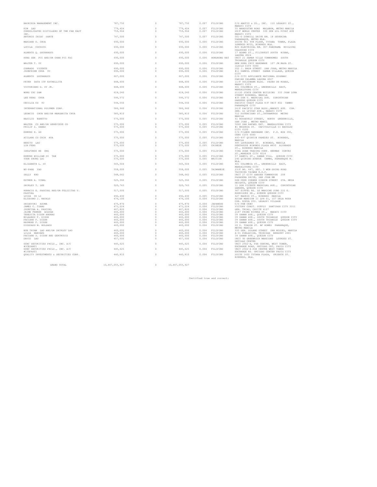| BAUHINIA MANAGEMENT INC.                           | 787,750            | $\theta$                         | 787,750            | 0.007          | FILIPINO                    | C/O ABOTIZ & CO., INC. 110 LEGASPI ST.,<br>MAKATI CITY                                            |
|----------------------------------------------------|--------------------|----------------------------------|--------------------|----------------|-----------------------------|---------------------------------------------------------------------------------------------------|
| KIM LAO<br>CONSOLIDATED DISTILLERS OF THE FAR EAST | 779,424<br>759,964 | $\Omega$<br>$\circ$              | 779,424<br>759,964 | 0.007<br>0.007 | <b>FILIPINO</b><br>FILIPINO | 55 MANGUSTAN ROAD MALABON, METRO MANILA<br>28/F WORLD CENTER 330 SEN GIL PUYAT AVE                |
| INC.<br>ANTONIO INIGO SARTE                        | 747,500            | $\theta$                         | 747,500            | 0.007          | <b>FILIPINO</b>             | MAKATI CITY<br>001-D DUNHILL DRIVE KM. 18 SEVERINA<br>PARANAQUE, METRO MLA.                       |
| MARIANO O. CHUA                                    | 690,000            | $\theta$                         | 690,000            | 0.006          | FILIPINO                    | SUITE 901 9TH FLOOR, TYTANA TOWER, PLAZA<br>LORENZO RUIZ, BINONDO MLA.                            |
| LUCILA COCHICO                                     | 690,000            | $\Omega$                         | 690,000            | 0.006          | FILIPINO                    | MJS ELECTRICAL RM. 307 PANORAMA BUILDING<br>CALOOCAN CITY                                         |
| ALBERTO O. GOCHANGCO                               | 690.000            | $\theta$                         | 690,000            | 0.006          | FILIPINO                    | 17 ADAMS ST., FILINVEST SOUTH BINAN,<br>LAGUNA 4024                                               |
| HUNG SEK PUI AND/OR CHAN PUI FAI                   | 690,000            | $\theta$                         | 690,000            | 0.006          | HONGKONG NAT                | UNIT 21 SAMAR VILLE TOWNHOMES SOUTH<br>TRIANGLE QUEZON CITY                                       |
| WALTER T. IIV                                      | 690,000            | $\Omega$                         | 690,000            | 0.006          | FILIPINO                    | NEW HONG CHIU HARDWARE 107 JM BASA ST.<br>ILOILO CITY 5000                                        |
| CONRADO VICENTE<br>JOSEPHINE CHUA YU               | 690,000<br>690,000 | $\theta$<br>$\theta$             | 690,000<br>690,000 | 0.006<br>0.006 | FILIPINO<br>FILIPINO        | 202 J. BASA STREET SAN JUAN, METRO MANILA<br>#11 DAMPOL STREET DAMAR VILLAGE, QUEZON<br>CITY      |
| ALBERTO GOCHANGCO                                  | 667,000            | $\theta$                         | 667,000            | 0.006          | FILIPINO                    | C/O CITI APPLIANCE NATIONAL HIGHWAY<br>PARIAN CALAMBA LAGUNA 4027                                 |
| PETER DATA ITF ESTRELLITA                          | 648,600            | $\theta$                         | 648,600            | 0.006          | FILIPINO                    | 11/F SOLIDBANK BLDG. PASEO DE ROXAS,<br>MAKATI CITY                                               |
| VICTORIANO G. SY JR.                               | 648,600            | $\Omega$                         | 648,600            | 0.006          | FILIPINO                    | 401 COLUMBIA ST., GREENHILLS EAST,<br>MANDALUYONG CITY                                            |
| WONG CHI SAM                                       | 618,240            | $\theta$                         | 618,240            | 0.006          | FILIPINO                    | S1120 STATE CENTER BUILDING 333 JUAN LUNA<br>STREET BINONDO, MANILA                               |
| LEE KENG CHUA                                      | 596,572            | $\Omega$                         | 596,572            | 0.006          | FILIPINO                    | #35 DON V. MADRIGAL AVE. CORINTHIAN<br>GARDENS QUEZON CITY                                        |
| CECILIA CO YU                                      | 594,550            | $\theta$                         | 594,550            | 0.006          | <b>FILIPINO</b>             | PACIFIC COAST PLAZA 8/F UNIT 802 TAMBO<br>PARANAOUE CITY                                          |
| INTERNATIONAL POLYMER CORP.                        | 586,960            | $\Omega$                         | 586,960            | 0.006          | FILIPINO                    | 26/F PACIFIC STAR BLDG., MAKATI AVE. COR.<br>SEN. GI LPUYAT AVE., MAKATI CITY                     |
| LEONCIO CHUA AND/OR MARGARITA CHUA                 | 585,810            | $\Omega$                         | 585,810            | 0.006          | FILIPINO                    | 512 POTENCIANO ST., INTRAMUROS METRO<br>MANILA                                                    |
| BASTLIO BARETTO                                    | 575,000            | $\theta$                         | 575,000            | 0.005          | <b>FILIPINO</b>             | 61 ROOSEVELT STREET, NORTH GREENHILLS,<br>SAN JUAN , METRO MANIL                                  |
| WALTER CO AND/OR GENEVIEVE CO<br>PHILIP Z. DABAO   | 575,000<br>575,000 | $\theta$<br>$\Omega$             | 575,000<br>575,000 | 0.005<br>0.005 | FILIPINO<br><b>FILIPINO</b> | 5060 SAN RAFAEL EXT. MANDALUYONG CITY<br>#1 BEGONIA ST. CAPITOLVILLE II BACOLOD<br>CITY 6100      |
| EDMUND H. GO                                       | 575,000            | $\Omega$                         | 575,000            | 0.005          | FILIPINO                    | C/O FILMON HARDWARE INC. P.O. BOX 390,<br>CEBU CITY 6000                                          |
| ATILANO CO CHIN HUA                                | 575,000            | $\theta$                         | 575,000            | 0.005          | FILIPINO                    | 493-497 QUINTIN PAREDES ST. BINONDO,<br>MANILA                                                    |
| BENITO LAO<br>LIN FENG                             | 575,000<br>575,000 | $\theta$<br>$\Omega$             | 575,000<br>575,000 | 0.005<br>0.005 | <b>FILIPINO</b><br>CHINESE  | 485 LAVEZARES ST. BINONDO, MANILA<br>PENTHOUSE BINONDO PLAZA #850 ALVARADO<br>ST., BINONDO MANILA |
| IDELFONSO KE ONG                                   | 575,000            | $\Omega$                         | 575,000            | 0.005          | <b>FILIPINO</b>             | TING GUAN TRADING CORP. HERMAN CORTES<br>ST., MANDAUE CITY 6014                                   |
| EDMUND WILLIAM SY TAN<br>YUEN CHUNG LAI            | 575,000<br>575,000 | $\Omega$<br>$\Omega$             | 575,000<br>575,000 | 0.005<br>0.005 | <b>FILIPINO</b><br>BRITISH  | 57 DAMPIL ST., DAMAR VILL. QUEZON CITY<br>240 QUIRINO AVENUE TAMBO, PARANAQUE M.                  |
| ELIZABETH L. SY                                    | 565,504            | $\theta$                         | 565,504            | 0.005          | FILIPINO                    | MLA.<br>401 COLUMBIA ST., GREENHILLS EAST,                                                        |
| WU-PANG YAO                                        | 558,000            | $\Omega$                         | 558,000            | 0.005          | TAIWANESE                   | MANDALUYONG CITY<br>23/F NO. 447, SEC. 3 WEN-SHING ROAD                                           |
| SALLY KHO                                          | 548,642            | $\theta$                         | 548,642            | 0.005          | FILIPINO                    | TAICHING TAIWAN R.O.C.<br>UNIT 27 CITY GARDEN TOWNHOUSE 208                                       |
| ESTHER A. VIBAL                                    | 525,366            | $\Omega$                         | 525,366            | 0.005          | FILIPINO                    | PASADENA DRIVE, SAN JUAN MM<br>DON PEPE CORNER SIROUN STREET STA. MESA                            |
| SHIRLEY T. LEE                                     | 520,743            | $\theta$                         | 520,743            | 0.005          | <b>FILIPINO</b>             | HEIGHTS, QUEZON CITY<br>11 DON VICENTE MADRIGAL AVE., CORINTHIAN                                  |
| HORACIO E. PASCUAL AND/OR FELICITAS V.             | 517,500            | $\Omega$                         | 517,500            | 0.005          | FILIPINO                    | GARDEN, QUEZON CITY<br>907 EIFFEL RD. LE MARICHE SUBD 222 E.                                      |
| PASCUAL<br>LUISA CO LI                             | 492,430            | $\Omega$                         | 492,430            | 0.005          | FILIPINO                    | RODRIGUEZ SR., AVENUE QUEZON CITY<br>627 MADRID ST., BINONDO MANILA                               |
| ELIODORO J. RAVALO                                 | 476,100            | $\,0\,$                          | 476,100            | 0.004          | FILIPINO                    | ASIAN MANSION II LPH 01, 107 DELA ROSA<br>COR. NIEVA STS. LEGASPI VILLAGE                         |
| SHIGEYUKI AZUMA<br>JAMES C. TSANG                  | 475,870<br>471,224 | $\theta$<br>$\ddot{\phantom{0}}$ | 475,870<br>471,224 | 0.004<br>0.004 | JAPANESE<br>FILIPINO        | C/O PNB CEBU<br>VICTORY CONST. SUPPLY SANTIAGO CITY 3311                                          |
| JOSEFINA A. PASCUAL                                | 467,820            | $\theta$                         | 467,820            | 0.004          | FILIPINO                    | GEN. TRIAS, CAVITE 4107                                                                           |
| JAIME FERRER ACAYAN                                | 460,000            | $\,0\,$                          | 460,000            | 0.004          | FILIPINO                    | 2187 PRIMO RIVERA ST., MAKATI CITY                                                                |
| TERESITA DIZON ANONAS                              | 460,000            | $\theta$                         | 460,000            | 0.004          | FILIPINO                    | 39 SAMAR AVE., QUEZON CITY                                                                        |
| MILAGROS F. DIZON<br>PACIANO F. DIZON              | 460,000<br>460,000 | $\theta$<br>$\circ$              | 460,000<br>460,000 | 0.004<br>0.004 | FILIPINO<br>FILIPINO        | 39 SAMAR AVE., SOUTH TRIANGLE QUEZON CITY<br>39 SAMAR AVE., SOUTH TRIANGLE QUEZON CITY            |
| RAYMOND F. DIZON                                   | 460,000            | $\theta$                         | 460,000            | 0.004          | FILIPINO                    | 39 SAMAR AVE., QUEZON CITY                                                                        |
| DIOSDADO M. HOLGADO                                | 460,000            | $\theta$                         | 460,000            | 0.004          | FILIPINO                    | 20 D. TUASON ST. BF HOMES PARANAQUE,                                                              |
| BUN THIAM LAO AND/OR SHIRLEY LAO                   | 460,000            | $\theta$                         | 460,000            | 0.004          | FILIPINO                    | METRO MANILA<br>935 GEN. SOLANO STREET SAN MIGUEL, MANILA                                         |
| LILIA NARVAEZ                                      | 460,000            | $\theta$                         | 460,000            | 0.004          | <b>FILIPINO</b>             | A-01 POBLACION, TRINIDAD BENGUET 2601                                                             |
| PACIANO S. DIZON AND GERTRUDIS                     | 460,000            | $\theta$                         | 460,000            | 0.004          | FILIPINO                    | 39 SAMAR AVE., QUEZON CITY                                                                        |
| DAVID LAO                                          | 457,500            | $\Omega$                         | 457,500            | 0.004          | FILIPINO                    | UNIT 9D GREENRICH MANSIONS LOURDES ST.<br>ORTIGAS CENTER                                          |
| OCBC SECURITIES PHILS., INC. A/C<br>#ICESAR01      | 445,625            | $\theta$                         | 445,625            | 0.004          | FILIPINO                    | UNIT 2502-A, PSE CENTRE, WEST TOWER,<br>EXCHANGE ROAD, ORTIGAS CRT, PASIG CITY                    |
| OCBC SECURITIES PHILS., INC. A/C<br>#IJOPAS01      | 445,625            | $\Omega$                         | 445,625            | 0.004          | <b>FILIPINO</b>             | UNIT 2502-A PSE CENTRE WEST TOWER<br>EXCHANGE RD. ORTIGAS CENTER PASIG CITY                       |
| QUALITY INVESTMENTS & SECURITIES CORP.             | 440,810            | $\theta$                         | 440,810            | 0.004          | FILIPINO                    | SUITE 1602 TYTANA PLAZA, ORIENTE ST.<br>BINONDO, MLA.                                             |

GRAND TOTAL 10,467,055,927 0 10,467,055,927

Certified true and correct: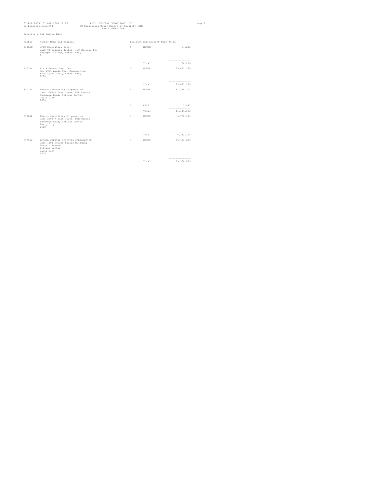| eq_bensecqe_r.sql/01 | 01-APR-2009 01-APR-2009 11:20                                                                                                     | PHIL. CENTRAL DEPOSITORY, INC.<br>EQ Beneficial Owner Report by Security (QE)<br>for 31-MAR-2009 |   |                                 |                                | Page 1 |
|----------------------|-----------------------------------------------------------------------------------------------------------------------------------|--------------------------------------------------------------------------------------------------|---|---------------------------------|--------------------------------|--------|
|                      | Security : ELI Empire East                                                                                                        |                                                                                                  |   |                                 |                                |        |
| Member               | Member Name and Address                                                                                                           |                                                                                                  |   | Resident Sub-Account Name Units |                                |        |
| B100AC               | UPCC Securities Corp.<br>Unit 94 Legaspi Suites, 178 Salcedo St.<br>Legaspi Village, Makati City<br>$\Omega$                      |                                                                                                  | Y | HOUSE                           | 34,216                         |        |
|                      |                                                                                                                                   |                                                                                                  |   | Total                           | ---------------<br>34,216      |        |
| B101AC               | A & A Securities, Inc.<br>Rm. 1906 Ayala Ave. Condominium<br>6776 Ayala Ave., Makati City<br>1200                                 |                                                                                                  | Y | HOUSE                           | 29,622,169                     |        |
|                      |                                                                                                                                   |                                                                                                  |   | Total                           | ----------------<br>29,622,169 |        |
| B102AC               | Abacus Securities Corporation<br>Unit 2904-A East Tower, PSE Centre<br>Exchange Road, Ortigas Center<br>Pasiq City<br>1600        |                                                                                                  | Y | HOUSE                           | 41, 138, 142                   |        |
|                      |                                                                                                                                   |                                                                                                  | Y | FREE                            | 7,891                          |        |
|                      |                                                                                                                                   |                                                                                                  |   | Total                           | ---------------<br>41,146,033  |        |
| B102AP               | Abacus Securities Corporation<br>Unit 2904-A East Tower, PSE Centre<br>Exchange Road, Ortigas Center<br>Pasig City<br>1600        |                                                                                                  | Y | HOUSE                           | 6,732,104                      |        |
|                      |                                                                                                                                   |                                                                                                  |   | Total                           | ---------------<br>6,732,104   |        |
| B103AC               | ACCORD CAPITAL EQUITIES CORPORATION<br>Unit 1101 Orient Square Building<br>Emerald Avenue<br>Ortigas Center<br>Pasiq City<br>1600 |                                                                                                  | Y | HOUSE                           | 19,904,829                     |        |
|                      |                                                                                                                                   |                                                                                                  |   | Total                           | ---------------<br>19,904,829  |        |
|                      |                                                                                                                                   |                                                                                                  |   |                                 |                                |        |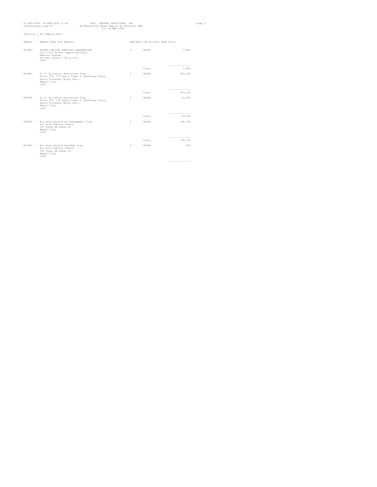| 01-APR-2009 01-APR-2009 11:20<br>PHIL. CENTRAL DEPOSITORY, INC.<br>EQ Beneficial Owner Report by Security (QE)<br>eq_bensecqe_r.sql/01<br>for 31-MAR-2009 |                                                                                                                                         |  |   |                                 | Page 2                       |  |
|-----------------------------------------------------------------------------------------------------------------------------------------------------------|-----------------------------------------------------------------------------------------------------------------------------------------|--|---|---------------------------------|------------------------------|--|
|                                                                                                                                                           | Security : ELI Empire East                                                                                                              |  |   |                                 |                              |  |
| Member                                                                                                                                                    | Member Name and Address                                                                                                                 |  |   | Resident Sub-Account Name Units |                              |  |
| B103FC                                                                                                                                                    | ACCORD CAPITAL EQUITIES CORPORATION<br>Unit 1101 Orient Square Building<br>Emerald Avenue<br>Ortigas Center, Pasig City<br>1600         |  | Y | HOUSE                           | 5,081                        |  |
|                                                                                                                                                           |                                                                                                                                         |  |   | Total                           | ---------------<br>5,081     |  |
| R104AC                                                                                                                                                    | A. T. De Castro Securities Corp.<br>Suite 701, 7/F Ayala Tower I, Exchange Plaza,<br>Ayala Triangle, Ayala Ave.,<br>Makati City<br>1226 |  | Y | HOUSE                           | 403,265                      |  |
|                                                                                                                                                           |                                                                                                                                         |  |   | Total                           | -----------------<br>403,265 |  |
| B104AP                                                                                                                                                    | A. T. De Castro Securities Corp.<br>Suite 701, 7/F Ayala Tower I, Exchange Plaza,<br>Ayala Triangle, Ayala Ave.,<br>Makati City<br>1226 |  | Y | HOUSE                           | 23,000                       |  |
|                                                                                                                                                           |                                                                                                                                         |  |   | Total                           | ----------------<br>23,000   |  |
| B105AC                                                                                                                                                    | All Asia Securities Management Corp.<br>All Asia Capital Center<br>105 Paseo de Roxas St.<br>Makati City<br>1200                        |  | Y | HOUSE                           | 198,702                      |  |
|                                                                                                                                                           |                                                                                                                                         |  |   | Total                           | ---------------<br>198,702   |  |
| B105FC                                                                                                                                                    | All Asia Securities Mnqt Corp                                                                                                           |  | Y | HOUSE                           | 920                          |  |
|                                                                                                                                                           | All Asia Capital Center<br>105 Paseo de Roxas St.<br>Makati City<br>1200                                                                |  |   |                                 |                              |  |
|                                                                                                                                                           |                                                                                                                                         |  |   |                                 | -----------------            |  |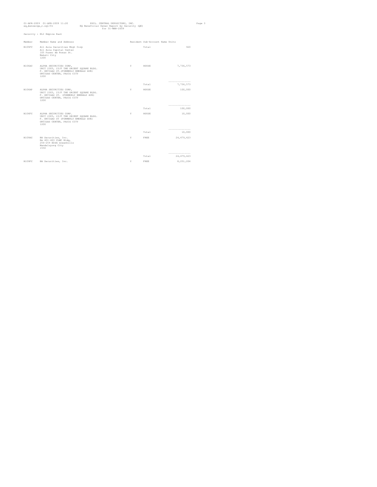| eq_bensecqe_r.sql/01 | 01-APR-2009 01-APR-2009 11:20                                                                                                                    | PHIL. CENTRAL DEPOSITORY, INC.<br>EQ Beneficial Owner Report by Security (QE)<br>for 31-MAR-2009 |    |                                 |                                  | Page 3 |
|----------------------|--------------------------------------------------------------------------------------------------------------------------------------------------|--------------------------------------------------------------------------------------------------|----|---------------------------------|----------------------------------|--------|
|                      | Security : ELI Empire East                                                                                                                       |                                                                                                  |    |                                 |                                  |        |
| Member               | Member Name and Address                                                                                                                          |                                                                                                  |    | Resident Sub-Account Name Units |                                  |        |
| B105FC               | All Asia Securities Mngt Corp<br>All Asia Capital Center<br>105 Paseo de Roxas St.<br>Makati City<br>1200                                        |                                                                                                  |    | Total                           | 920                              |        |
| B106AC               | ALPHA SECURITIES CORP,<br>UNIT 2305, 23/F THE ORIENT SQUARE BLDG.<br>F. ORTIGAS ST. (FORMERLY EMERALD AVE)<br>ORTIGAS CENTER, PASIG CITY<br>1200 |                                                                                                  | Y  | HOUSE                           | 7,736,573                        |        |
|                      |                                                                                                                                                  |                                                                                                  |    | Total                           | ----------------<br>7,736,573    |        |
| B106AP               | ALPHA SECURITIES CORP,<br>UNIT 2305, 23/F THE ORIENT SQUARE BLDG.<br>F. ORTIGAS ST. (FORMERLY EMERALD AVE)<br>ORTIGAS CENTER, PASIG CITY<br>1200 |                                                                                                  | Y  | HOUSE                           | 100,000                          |        |
|                      |                                                                                                                                                  |                                                                                                  |    | Total                           | ---------------<br>100,000       |        |
| B106FC               | ALPHA SECURITIES CORP.<br>UNIT 2305, 23/F THE ORIENT SOUARE BLDG.<br>F. ORTIGAS ST (FORMERLY EMERALD AVE)<br>ORTIGAS CENTER, PASIG CITY<br>1200  |                                                                                                  | Y  | HOUSE                           | 10,000                           |        |
|                      |                                                                                                                                                  |                                                                                                  |    | Total                           | -----------------<br>10,000      |        |
| B109AC               | BA Securities, Inc.<br>Rm 401-403 CLMC Bldg,<br>256-259 EDSA Greenhills<br>Mandaluyong City<br>1550                                              |                                                                                                  | Y. | FREE                            | 24, 479, 423                     |        |
|                      |                                                                                                                                                  |                                                                                                  |    | Total                           | ----------------<br>24, 479, 423 |        |
| B109FC               | BA Securities, Inc.                                                                                                                              |                                                                                                  | Y  | FREE                            | 8,251,204                        |        |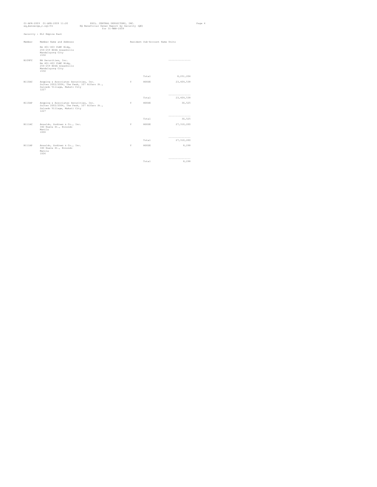| 01-APR-2009 01-APR-2009 11:20<br>eq_bensecqe_r.sql/01                                                                                  | PHIL. CENTRAL DEPOSITORY, INC.<br>EQ Beneficial Owner Report by Security (QE)<br>$for 31 - \text{MAR} - 2009$ |    |                                 |                                   | Page 4 |
|----------------------------------------------------------------------------------------------------------------------------------------|---------------------------------------------------------------------------------------------------------------|----|---------------------------------|-----------------------------------|--------|
| Security : ELI Empire East                                                                                                             |                                                                                                               |    |                                 |                                   |        |
| Member Name and Address<br>Member                                                                                                      |                                                                                                               |    | Resident Sub-Account Name Units |                                   |        |
| Rm 401-403 CLMC Bldg,<br>256-259 EDSA Greenhills<br>Mandaluyong City<br>1550                                                           |                                                                                                               |    |                                 |                                   |        |
| B109FC<br>BA Securities, Inc.<br>Rm 401-403 CLMC Bldg,<br>256-259 EDSA Greenhills<br>Mandaluyong City<br>1550                          |                                                                                                               |    |                                 | ----------------                  |        |
|                                                                                                                                        |                                                                                                               |    | Total                           | 8,251,204                         |        |
| B110AC<br>Angping & Associates Securities, Inc.<br>Suites 2002/2004, The Peak, 107 Alfaro St.,<br>Salcedo Village, Makati City<br>1227 |                                                                                                               | Y  | HOUSE                           | 23, 409, 538                      |        |
|                                                                                                                                        |                                                                                                               |    | Total                           | -----------------<br>23, 409, 538 |        |
| B110AP<br>Angping & Associates Securities, Inc.<br>Suites 2002/2004, The Peak, 107 Alfaro St.,<br>Salcedo Village, Makati City<br>1227 |                                                                                                               | Y. | HOUSE                           | 30,525                            |        |
|                                                                                                                                        |                                                                                                               |    | Total                           | -----------------<br>30,525       |        |
| B111AC<br>Ansaldo, Godinez & Co., Inc.<br>340 Nueva St., Binondo<br>Manila<br>1006                                                     |                                                                                                               | Y  | HOUSE                           | 27, 310, 200                      |        |
|                                                                                                                                        |                                                                                                               |    | Total                           | ---------------<br>27, 310, 200   |        |
| R111AP<br>Ansaldo, Godinez & Co., Inc.<br>340 Nueva St., Binondo<br>Manila<br>1006                                                     |                                                                                                               | Y. | HOUSE                           | 8,298                             |        |
|                                                                                                                                        |                                                                                                               |    | Total                           | ----------------<br>8,298         |        |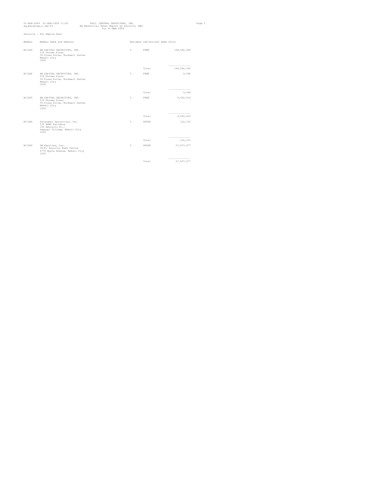|        | 01-APR-2009 01-APR-2009 11:20<br>eq_bensecqe_r.sql/01                                                        | PHIL. CENTRAL DEPOSITORY, INC.<br>EQ Beneficial Owner Report by Security (QE)<br>for 31-MAR-2009 |   |                                 |                                | Page 5 |
|--------|--------------------------------------------------------------------------------------------------------------|--------------------------------------------------------------------------------------------------|---|---------------------------------|--------------------------------|--------|
|        | Security : ELI Empire East                                                                                   |                                                                                                  |   |                                 |                                |        |
| Member | Member Name and Address                                                                                      |                                                                                                  |   | Resident Sub-Account Name Units |                                |        |
| B112AC | AB CAPITAL SECURITIES, INC.<br>5/F Phinma Plaza<br>39 Plaza Drive, Rockwell Center<br>Makati City<br>1200    |                                                                                                  | Y | FREE                            | 168,582,306                    |        |
|        |                                                                                                              |                                                                                                  |   | Total                           | ---------------<br>168,582,306 |        |
| B112AP | AB CAPITAL SECURITIES, INC.<br>5/F Phinma Plaza<br>39 Plaza Drive, Rockwell Center<br>Makati City<br>1200    |                                                                                                  | Y | FREE                            | 9,348                          |        |
|        |                                                                                                              |                                                                                                  |   | Total                           | -----------------<br>9,348     |        |
| B112FC | AB CAPITAL SECURITIES, INC.<br>5/F Phinma Plaza<br>39 Plaza Drive, Rockwell Center<br>Makati City<br>1200    |                                                                                                  | Y | FREE                            | 9.622.616                      |        |
|        |                                                                                                              |                                                                                                  |   | Total                           | ---------------<br>9,622,616   |        |
| B113AC | Sarangani Securities, Inc.<br>5/F APMC Building<br>136 Amorsolo St.,<br>Legaspi Village, Makati City<br>1229 |                                                                                                  | Y | HOUSE                           | 122,153                        |        |
|        |                                                                                                              |                                                                                                  |   | Total                           | ---------------<br>122,153     |        |
| B115AC | SB Equities, Inc.<br>18/F, Security Bank Centre<br>6776 Ayala Avenue, Makati City<br>1226                    |                                                                                                  | Y | HOUSE                           | 27,037,677                     |        |
|        |                                                                                                              |                                                                                                  |   | Total                           | ----------------<br>27,037,677 |        |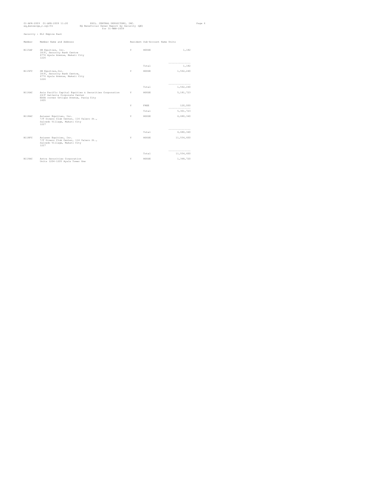|        | 01-APR-2009 01-APR-2009 11:20<br>PHIL. CENTRAL DEPOSITORY, INC.<br>Page 6<br>EQ Beneficial Owner Report by Security (QE)<br>eq_bensecqe_r.sql/01<br>for 31-MAR-2009 |                                                        |   |                                 |                                  |  |
|--------|---------------------------------------------------------------------------------------------------------------------------------------------------------------------|--------------------------------------------------------|---|---------------------------------|----------------------------------|--|
|        | Security : ELI Empire East                                                                                                                                          |                                                        |   |                                 |                                  |  |
| Member | Member Name and Address                                                                                                                                             |                                                        |   | Resident Sub-Account Name Units |                                  |  |
| B115AP | SB Equities, Inc.<br>18/F, Security Bank Centre<br>6776 Avala Avenue, Makati City<br>1226                                                                           |                                                        | Y | HOUSE                           | 1,182                            |  |
|        |                                                                                                                                                                     |                                                        |   | Total                           | ----------------<br>1,182        |  |
| B115FC | SB Equities, Inc.<br>18/F. Security Bank Centre.<br>6776 Ayala Avenue, Makati City<br>1226                                                                          |                                                        | Y | HOUSE                           | 1,562,240                        |  |
|        |                                                                                                                                                                     |                                                        |   | Total                           | ---------------<br>1,562,240     |  |
| B116AC | 24/F Galleria Corporate Center<br>EDSA corner Ortigas Avenue, Pasiq City<br>1605                                                                                    | Asia Pacific Capital Equities & Securities Corporation | Y | HOUSE                           | 5, 181, 723                      |  |
|        |                                                                                                                                                                     |                                                        | Y | FREE                            | 120,000<br>-----------------     |  |
|        |                                                                                                                                                                     |                                                        |   | Total                           | 5, 301, 723                      |  |
| R118AC | Asiasec Equities, Inc.<br>7/F Diners Club Center, 114 Valero St.,<br>Salcedo Village, Makati City<br>1227                                                           |                                                        | Y | HOUSE                           | 6,680,340                        |  |
|        |                                                                                                                                                                     |                                                        |   | Total                           | -----------------<br>6,680,340   |  |
| R118FC | Asiasec Equities, Inc.<br>7/F Diners Club Center, 114 Valero St.,<br>Salcedo Village, Makati City<br>1227                                                           |                                                        | Y | HOUSE                           | 11,554,600                       |  |
|        |                                                                                                                                                                     |                                                        |   | Total                           | ------------------<br>11,554,600 |  |
| B119AC | Astra Securities Corporation                                                                                                                                        |                                                        | Y | HOUSE                           | 1,348,720                        |  |
|        | Units 1204-1205 Avala Tower One                                                                                                                                     |                                                        |   |                                 |                                  |  |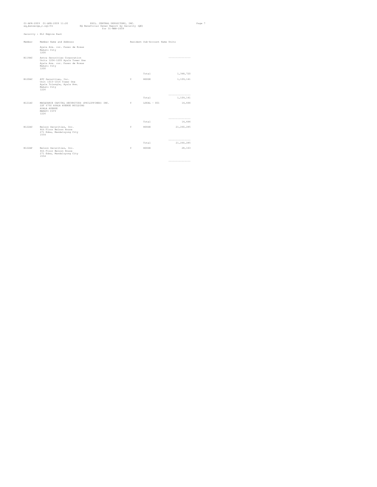| eq_bensecqe_r.sql/01 | 01-APR-2009 01-APR-2009 11:20                                                                                            | PHIL. CENTRAL DEPOSITORY, INC.<br>EQ Beneficial Owner Report by Security (QE)<br>for 31-MAR-2009 |    |                                 |                                | Page 7 |
|----------------------|--------------------------------------------------------------------------------------------------------------------------|--------------------------------------------------------------------------------------------------|----|---------------------------------|--------------------------------|--------|
|                      | Security : ELI Empire East                                                                                               |                                                                                                  |    |                                 |                                |        |
| Member               | Member Name and Address                                                                                                  |                                                                                                  |    | Resident Sub-Account Name Units |                                |        |
|                      | Ayala Ave. cor. Paseo de Roxas<br>Makati City<br>1200                                                                    |                                                                                                  |    |                                 |                                |        |
| B119AC               | Astra Securities Corporation<br>Units 1204-1205 Ayala Tower One<br>Ayala Ave. cor. Paseo de Roxas<br>Makati City<br>1200 |                                                                                                  |    |                                 | ------------------             |        |
|                      |                                                                                                                          |                                                                                                  |    | Total                           | 1,348,720                      |        |
| B120AC               | ATC Securities, Inc.<br>Unit 1015-1016 Tower One<br>Ayala Triangle, Ayala Ave.<br>Makati City<br>1226                    |                                                                                                  | Y  | HOUSE                           | 1,109,141                      |        |
|                      |                                                                                                                          |                                                                                                  |    | Total                           | ----------------<br>1,109,141  |        |
| R121AC               | MACQUARIE CAPITAL SECURITIES (PHILIPPINES) INC.<br>22F 6750 AYALA AVENUE BUILDING<br>AYALA AVENUE<br>MAKATI CITY<br>1226 |                                                                                                  | Y  | $LOCAL - 001$                   | 14,444                         |        |
|                      |                                                                                                                          |                                                                                                  |    | Total                           | ------------------<br>14,444   |        |
| B122AC               | Belson Securities, Inc.<br>4th Floor Belson House<br>271 Edsa, Mandaluyong City<br>1554                                  |                                                                                                  | Y  | HOUSE                           | 21,260,285                     |        |
|                      |                                                                                                                          |                                                                                                  |    | Total                           | ----------------<br>21,260,285 |        |
| B122AP               | Belson Securities, Inc.<br>4th Floor Belson House<br>271 Edsa, Mandaluyong City<br>1554                                  |                                                                                                  | Y. | HOUSE                           | 28,163                         |        |
|                      |                                                                                                                          |                                                                                                  |    |                                 | ------------------             |        |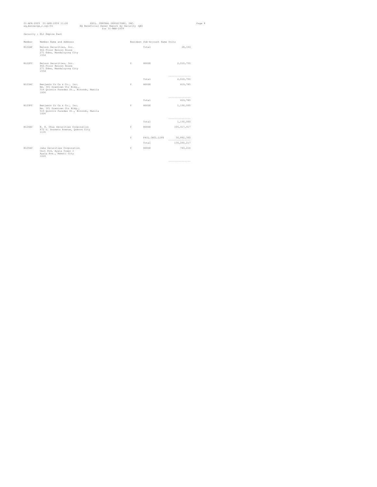|        | 01-APR-2009 01-APR-2009 11:20<br>eq_bensecge_r.sql/01                                                         | PHIL. CENTRAL DEPOSITORY, INC.<br>EQ Beneficial Owner Report by Security (QE)<br>$for 31 - \text{MAR} - 2009$ |    |                                 |                                     | Page 8 |
|--------|---------------------------------------------------------------------------------------------------------------|---------------------------------------------------------------------------------------------------------------|----|---------------------------------|-------------------------------------|--------|
|        | Security : ELI Empire East                                                                                    |                                                                                                               |    |                                 |                                     |        |
| Member | Member Name and Address                                                                                       |                                                                                                               |    | Resident Sub-Account Name Units |                                     |        |
| B122AP | Belson Securities, Inc.<br>4th Floor Belson House<br>271 Edsa, Mandaluyong City<br>1554                       |                                                                                                               |    | Total                           | 28,163                              |        |
| B122FC | Belson Securities, Inc.<br>4th Floor Belson House<br>271 Edsa, Mandaluyong City<br>1554                       |                                                                                                               | Y  | HOUSE                           | 2,010,750                           |        |
|        |                                                                                                               |                                                                                                               |    | Total                           | ---------------<br>2,010,750        |        |
| B123AC | Benjamin Co Ca & Co., Inc.<br>Rm. 301 Downtown Ctr Bldg.,<br>516 Ouintin Paredes St., Binondo, Manila<br>1006 |                                                                                                               | Y  | HOUSE                           | 419,785                             |        |
|        |                                                                                                               |                                                                                                               |    | Total                           | ---------------<br>419,785          |        |
| B123FC | Benjamin Co Ca & Co., Inc.<br>Rm. 301 Downtown Ctr Bldg.,<br>516 Quintin Paredes St., Binondo, Manila<br>1006 |                                                                                                               | Y  | HOUSE                           | 1,150,000                           |        |
|        |                                                                                                               |                                                                                                               |    | Total                           | ----------------<br>1,150,000       |        |
| B124AC | B. H. Chua Securities Corporation<br>872 G. Araneta Avenue, Quezon City<br>1135                               |                                                                                                               | Y  | HOUSE                           | 105, 417, 917                       |        |
|        |                                                                                                               |                                                                                                               | Y. | PHIL. INTL. LIFE                | 30,842,300                          |        |
|        |                                                                                                               |                                                                                                               |    | Total                           | ------------------<br>136, 260, 217 |        |
| B125AC | Jaka Securities Corporation<br>Unit 814, Ayala Tower I<br>Ayala Ave., Makati City<br>1226                     |                                                                                                               | Y  | HOUSE                           | 743,214                             |        |
|        |                                                                                                               |                                                                                                               |    |                                 | --------------------                |        |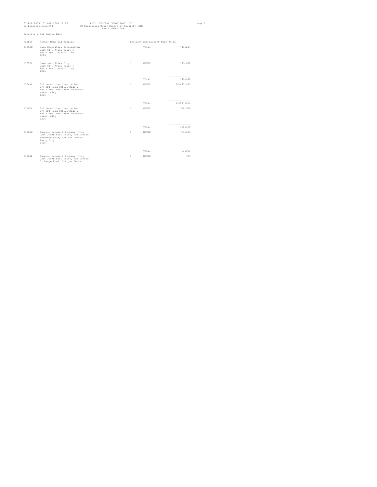|               | 01-APR-2009 01-APR-2009 11:20<br>eq_bensecge_r.sql/01                                                                      | PHIL. CENTRAL DEPOSITORY, INC.<br>EQ Beneficial Owner Report by Security (QE)<br>for 31-MAR-2009 |    |                                 |                                 | Page 9 |
|---------------|----------------------------------------------------------------------------------------------------------------------------|--------------------------------------------------------------------------------------------------|----|---------------------------------|---------------------------------|--------|
|               | Security : ELI Empire East                                                                                                 |                                                                                                  |    |                                 |                                 |        |
| Member        | Member Name and Address                                                                                                    |                                                                                                  |    | Resident Sub-Account Name Units |                                 |        |
| B125AC        | Jaka Securities Corporation<br>Unit 814, Ayala Tower I<br>Ayala Ave., Makati City<br>1226                                  |                                                                                                  |    | Total                           | 743,214                         |        |
| B125FC        | Jaka Securities Corp.<br>Unit 814, Ayala Tower I<br>Ayala Ave., Makati City<br>1226                                        |                                                                                                  | Y. | HOUSE                           | 115,000                         |        |
|               |                                                                                                                            |                                                                                                  |    | Total                           | ---------------<br>115,000      |        |
| B126AC        | BPI Securities Corporation<br>8/F BPI Head Office Bldg.,<br>Ayala Ave., cor. Paseo de Roxas<br>Makati City<br>1226         |                                                                                                  | Y  | HOUSE                           | 96, 847, 851                    |        |
|               |                                                                                                                            |                                                                                                  |    | Total                           | ---------------<br>96, 847, 851 |        |
| B126FC        | BPI Securities Corporation<br>8/F BPI Head Office Bldg.,<br>Ayala Ave., cor. Paseo de Roxas<br>Makati City<br>1226         |                                                                                                  | Y  | HOUSE                           | 368,670                         |        |
|               |                                                                                                                            |                                                                                                  |    | Total                           | ----------------<br>368,670     |        |
| B128AC        | Campos, Lanuza & Company, Inc.<br>Unit 2003B East Tower, PSE Center<br>Exchange Road, Ortigas Center<br>Pasio City<br>1605 |                                                                                                  | Y  | HOUSE                           | 753,893                         |        |
|               |                                                                                                                            |                                                                                                  |    | Total                           | -----------------<br>753,893    |        |
| <b>B128AP</b> | Campos, Lanuza & Company, Inc.<br>Unit 2003B East Tower, PSE Center<br>Exchange Road, Ortigas Center                       |                                                                                                  | Y  | HOUSE                           | 969                             |        |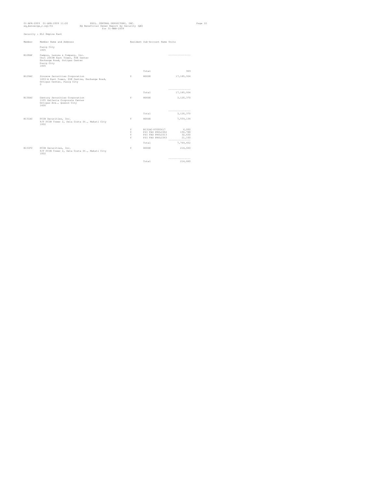| 01-APR-2009 01-APR-2009 11:20<br>eq_bensecqe_r.sql/01                                                                                | PHIL. CENTRAL DEPOSITORY, INC.<br>EQ Beneficial Owner Report by Security (QE)<br>for 31-MAR-2009 |    |                                 |                              | Page 10 |
|--------------------------------------------------------------------------------------------------------------------------------------|--------------------------------------------------------------------------------------------------|----|---------------------------------|------------------------------|---------|
| Security : ELI Empire East                                                                                                           |                                                                                                  |    |                                 |                              |         |
| Member<br>Member Name and Address                                                                                                    |                                                                                                  |    | Resident Sub-Account Name Units |                              |         |
| Pasiq City<br>1605                                                                                                                   |                                                                                                  |    |                                 |                              |         |
| R128AP<br>Campos, Lanuza & Company, Inc.<br>Unit 2003B East Tower, PSE Center<br>Exchange Road, Ortigas Center<br>Pasiq City<br>1605 |                                                                                                  |    |                                 | ----------------             |         |
|                                                                                                                                      |                                                                                                  |    | Total                           | 969                          |         |
| R129AC<br>Sincere Securities Corporation<br>1203-A East Tower, PSE Centre, Exchange Road,<br>Ortigas Center, Pasig City<br>$\Omega$  |                                                                                                  | Y  | HOUSE                           | 17, 185, 934                 |         |
|                                                                                                                                      |                                                                                                  |    |                                 | ---------------              |         |
|                                                                                                                                      |                                                                                                  |    | Total                           | 17, 185, 934                 |         |
| B130AC<br>Century Securities Corporation<br>1105 Galleria Corporate Center<br>Ortigas Ave., Quezon City<br>1600                      |                                                                                                  | Y  | HOUSE                           | 3,120,370                    |         |
|                                                                                                                                      |                                                                                                  |    | Total                           | ---------------              |         |
|                                                                                                                                      |                                                                                                  |    |                                 | 3,120,370                    |         |
| B131AC<br>PCIB Securities, Inc.<br>8/F PCIB Tower 2, Dela Costa St., Makati City<br>1002                                             |                                                                                                  | Y  | HOUSE                           | 7,559,134                    |         |
|                                                                                                                                      |                                                                                                  | Y. | B131AC-PT000617                 | 6,000                        |         |
|                                                                                                                                      |                                                                                                  | Y. | PSI FAO PRULIO02                | 150,788                      |         |
|                                                                                                                                      |                                                                                                  | Y. | PSI FAO PRULIO13                | 32,430                       |         |
|                                                                                                                                      |                                                                                                  | Y. | PSI FAO PRULIO63                | 21,100<br>---------------    |         |
|                                                                                                                                      |                                                                                                  |    | Total                           | 7,769,452                    |         |
| B131FC<br>PCIB Securities, Inc.<br>8/F PCIB Tower 2, Dela Costa St., Makati City<br>1002                                             |                                                                                                  | Y  | HOUSE                           | 214,660                      |         |
|                                                                                                                                      |                                                                                                  |    | Total                           | -----------------<br>214,660 |         |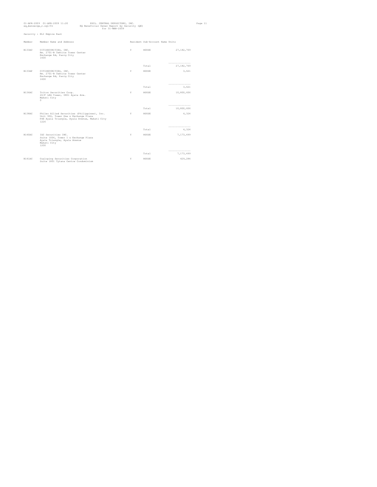|               | 01-APR-2009 01-APR-2009 11:20<br>PHIL. CENTRAL DEPOSITORY, INC.<br>EQ Beneficial Owner Report by Security (QE)<br>eq_bensecqe_r.sql/01<br>for 31-MAR-2009 |   |                                 |                                  | Page 11 |
|---------------|-----------------------------------------------------------------------------------------------------------------------------------------------------------|---|---------------------------------|----------------------------------|---------|
|               | Security : ELI Empire East                                                                                                                                |   |                                 |                                  |         |
| Member        | Member Name and Address                                                                                                                                   |   | Resident Sub-Account Name Units |                                  |         |
| B133AC        | CITISECURITIES, INC.<br>Rm. 2701-B Tektite Tower Center<br>Exchange Rd, Pasig City<br>1600                                                                | Y | HOUSE                           | 27,182,769                       |         |
|               |                                                                                                                                                           |   | Total                           | ----------------<br>27, 182, 769 |         |
| B133AP        | CITISECURITIES, INC.<br>Rm. 2701-B Tektite Tower Center<br>Exchange Rd, Pasig City<br>1600                                                                | Y | HOUSE                           | 3,621                            |         |
|               |                                                                                                                                                           |   | Total                           | ----------------<br>3,621        |         |
| <b>B136AC</b> | Triton Securities Corp.<br>26/F LKG Tower, 6801 Ayala Ave.<br>Makati City<br>$\Omega$                                                                     | Y | HOUSE                           | 10,800,606                       |         |
|               |                                                                                                                                                           |   | Total                           | ----------------<br>10,800,606   |         |
| B138AC        | Phileo Allied Securities (Philippines), Inc.<br>Unit 906, Tower One & Exchange Plaza<br>PSE Ayala Triangle, Ayala Avenue, Makati City<br>1226             | Y | HOUSE                           | 4,324                            |         |
|               |                                                                                                                                                           |   | Total                           | ----------------<br>4,324        |         |
| B140AC        | IGC Securities INC.<br>Suite 1006, Tower I & Exchange Plaza<br>Ayala Triangle, Ayala Avenue<br>Makati City<br>1200                                        | Y | HOUSE                           | 7,173,499                        |         |
|               |                                                                                                                                                           |   | Total                           | ----------------<br>7,173,499    |         |
| B141AC        | Cualoping Securities Corporation<br>Suite 1801 Tytana Centre Condominium                                                                                  | Y | HOUSE                           | 429,284                          |         |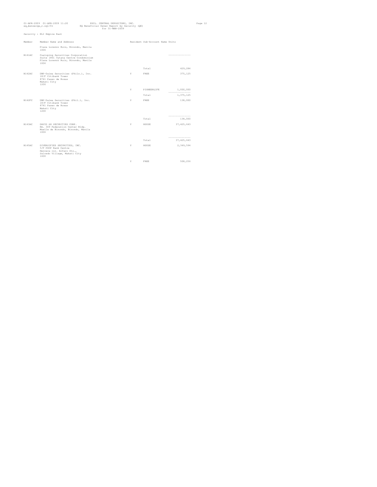| eq_bensecge_r.sql/01 | 01-APR-2009 01-APR-2009 11:20                                                                                             | PHIL. CENTRAL DEPOSITORY, INC.<br>EQ Beneficial Owner Report by Security (QE) | for 31-MAR-2009 |    |                                 |                                 | Page 12 |
|----------------------|---------------------------------------------------------------------------------------------------------------------------|-------------------------------------------------------------------------------|-----------------|----|---------------------------------|---------------------------------|---------|
|                      | Security : ELI Empire East                                                                                                |                                                                               |                 |    |                                 |                                 |         |
| Member               | Member Name and Address                                                                                                   |                                                                               |                 |    | Resident Sub-Account Name Units |                                 |         |
|                      | Plaza Lorenzo Ruiz, Binondo, Manila<br>1006                                                                               |                                                                               |                 |    |                                 |                                 |         |
| B141AC               | Cualoping Securities Corporation<br>Suite 1801 Tytana Centre Condominium<br>Plaza Lorenzo Ruiz, Binondo, Manila<br>1006   |                                                                               |                 |    |                                 | --------------------            |         |
|                      |                                                                                                                           |                                                                               |                 |    | Total                           | 429,284                         |         |
| R142AC               | DBP-Daiwa Securities (Phils.), Inc.<br>18/F Citibank Tower<br>8741 Paseo de Roxas<br>Makati City<br>1200                  |                                                                               |                 | Y  | FREE.                           | 375,125                         |         |
|                      |                                                                                                                           |                                                                               |                 | Y. | PIONEERLIFE                     | 1,000,000<br>----------------   |         |
|                      |                                                                                                                           |                                                                               |                 |    | Total                           | 1,375,125                       |         |
| B142FC               | DBP-Daiwa Securities (Phil.), Inc.<br>18/F Citibank Tower<br>8741 Paseo de Roxas<br>Makati City<br>1200                   |                                                                               |                 | Y  | FREE                            | 138,000                         |         |
|                      |                                                                                                                           |                                                                               |                 |    | Total                           | ---------------<br>138,000      |         |
| B143AC               | DAVID GO SECURITIES CORP.<br>Rm. 309 Federation Center Bldg.<br>Muelle de Binondo, Binondo, Manila<br>1006                |                                                                               |                 | Y  | HOUSE                           | 37, 425, 643                    |         |
|                      |                                                                                                                           |                                                                               |                 |    | Total                           | ---------------<br>37, 425, 643 |         |
| B145AC               | DIVERSIFIED SECURITIES, INC.<br>5/F PDCP Bank Centre<br>Herrera cor. Alfaro Sts.,<br>Salcedo Village, Makati City<br>1600 |                                                                               |                 | Y  | HOUSE                           | 2,349,594                       |         |
|                      |                                                                                                                           |                                                                               |                 | Y  | FREE                            | 508,256                         |         |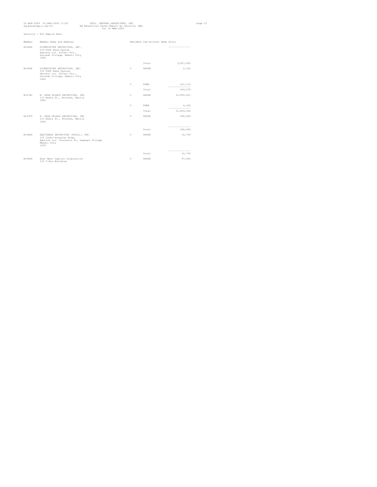| Security : ELI Empire East<br>Member Name and Address<br>Resident Sub-Account Name Units<br>DIVERSIFIED SECURITIES, INC.<br>---------------<br>5/F PDCP Bank Centre<br>Herrera cor. Alfaro Sts.,<br>Salcedo Village, Makati City<br>1600<br>2,857,850<br>Total<br>2,162<br>Y<br>DIVERSIFIED SECURITIES, INC.<br>HOUSE<br>5/F PDCP Bank Centre,<br>Herrera cor. Alfaro Sts.,<br>Salcedo Village, Makati City<br>1600<br>Y<br>FREE<br>647,116<br>-----------------<br>Total<br>649,278<br>31,855,021<br>E. CHUA CHIACO SECURITIES, INC.<br>Y<br>HOUSE<br>113 Renta St., Binondo, Manila<br>1006<br>Y<br>FREE<br>4,324<br>---------------<br>31,859,345<br>Total<br>400,000<br>E. CHUA CHIACO SECURITIES, INC.<br>Y<br>HOUSE<br>113 Renta St., Binondo, Manila<br>1006<br>---------------<br>Total<br>400,000<br>EOUITABLE SECURITIES (PHILS.) INC.<br>10,799<br>Y<br>HOUSE<br>3/F Cacho-Gonzalez Bldg,<br>Aquirre cor. Trasierra St, Legaspi Village<br>Makati City<br>1229<br>------------------<br>Total<br>10,799 | eq_bensecqe_r.sql/01 | 01-APR-2009 01-APR-2009 11:20 | PHIL, CENTRAL DEPOSITORY, INC.<br>EQ Beneficial Owner Report by Security (QE)<br>for 31-MAR-2009 |  | Page 13 |
|--------------------------------------------------------------------------------------------------------------------------------------------------------------------------------------------------------------------------------------------------------------------------------------------------------------------------------------------------------------------------------------------------------------------------------------------------------------------------------------------------------------------------------------------------------------------------------------------------------------------------------------------------------------------------------------------------------------------------------------------------------------------------------------------------------------------------------------------------------------------------------------------------------------------------------------------------------------------------------------------------------------------|----------------------|-------------------------------|--------------------------------------------------------------------------------------------------|--|---------|
|                                                                                                                                                                                                                                                                                                                                                                                                                                                                                                                                                                                                                                                                                                                                                                                                                                                                                                                                                                                                                    |                      |                               |                                                                                                  |  |         |
|                                                                                                                                                                                                                                                                                                                                                                                                                                                                                                                                                                                                                                                                                                                                                                                                                                                                                                                                                                                                                    | Member               |                               |                                                                                                  |  |         |
|                                                                                                                                                                                                                                                                                                                                                                                                                                                                                                                                                                                                                                                                                                                                                                                                                                                                                                                                                                                                                    | B145AC               |                               |                                                                                                  |  |         |
|                                                                                                                                                                                                                                                                                                                                                                                                                                                                                                                                                                                                                                                                                                                                                                                                                                                                                                                                                                                                                    |                      |                               |                                                                                                  |  |         |
|                                                                                                                                                                                                                                                                                                                                                                                                                                                                                                                                                                                                                                                                                                                                                                                                                                                                                                                                                                                                                    | B145AP               |                               |                                                                                                  |  |         |
|                                                                                                                                                                                                                                                                                                                                                                                                                                                                                                                                                                                                                                                                                                                                                                                                                                                                                                                                                                                                                    |                      |                               |                                                                                                  |  |         |
|                                                                                                                                                                                                                                                                                                                                                                                                                                                                                                                                                                                                                                                                                                                                                                                                                                                                                                                                                                                                                    |                      |                               |                                                                                                  |  |         |
|                                                                                                                                                                                                                                                                                                                                                                                                                                                                                                                                                                                                                                                                                                                                                                                                                                                                                                                                                                                                                    | B147AC               |                               |                                                                                                  |  |         |
|                                                                                                                                                                                                                                                                                                                                                                                                                                                                                                                                                                                                                                                                                                                                                                                                                                                                                                                                                                                                                    |                      |                               |                                                                                                  |  |         |
|                                                                                                                                                                                                                                                                                                                                                                                                                                                                                                                                                                                                                                                                                                                                                                                                                                                                                                                                                                                                                    |                      |                               |                                                                                                  |  |         |
|                                                                                                                                                                                                                                                                                                                                                                                                                                                                                                                                                                                                                                                                                                                                                                                                                                                                                                                                                                                                                    | <b>B147FC</b>        |                               |                                                                                                  |  |         |
|                                                                                                                                                                                                                                                                                                                                                                                                                                                                                                                                                                                                                                                                                                                                                                                                                                                                                                                                                                                                                    |                      |                               |                                                                                                  |  |         |
|                                                                                                                                                                                                                                                                                                                                                                                                                                                                                                                                                                                                                                                                                                                                                                                                                                                                                                                                                                                                                    | B148AC               |                               |                                                                                                  |  |         |
|                                                                                                                                                                                                                                                                                                                                                                                                                                                                                                                                                                                                                                                                                                                                                                                                                                                                                                                                                                                                                    |                      |                               |                                                                                                  |  |         |
| East West Capital Corporation<br>Y<br>87,628<br>HOUSE<br>2/F U-Bix Building                                                                                                                                                                                                                                                                                                                                                                                                                                                                                                                                                                                                                                                                                                                                                                                                                                                                                                                                        | B149AC               |                               |                                                                                                  |  |         |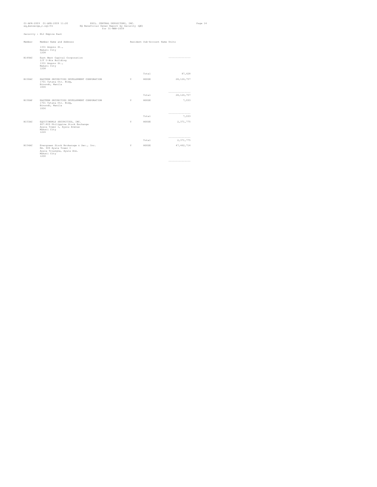| eq_bensecge_r.sql/01 | 01-APR-2009 01-APR-2009 11:20                                                                                           | PHIL. CENTRAL DEPOSITORY, INC.<br>EQ Beneficial Owner Report by Security (QE)<br>for 31-MAR-2009 |   |                                 |                                   | Page 14 |
|----------------------|-------------------------------------------------------------------------------------------------------------------------|--------------------------------------------------------------------------------------------------|---|---------------------------------|-----------------------------------|---------|
|                      | Security : ELI Empire East                                                                                              |                                                                                                  |   |                                 |                                   |         |
| Member               | Member Name and Address                                                                                                 |                                                                                                  |   | Resident Sub-Account Name Units |                                   |         |
|                      | 1331 Angono St.,<br>Makati City<br>1208                                                                                 |                                                                                                  |   |                                 |                                   |         |
| B149AC               | East West Capital Corporation<br>2/F U-Bix Building<br>1331 Angono St.,<br>Makati City<br>1208                          |                                                                                                  |   |                                 | -----------------                 |         |
|                      |                                                                                                                         |                                                                                                  |   | Total                           | 87,628                            |         |
| B150AC               | EASTERN SECURITIES DEVELOPMENT CORPORATION<br>1701 Tytana Ctr. Bldg,<br>Binondo, Manila<br>1006                         |                                                                                                  | Y | HOUSE                           | 28, 126, 757                      |         |
|                      |                                                                                                                         |                                                                                                  |   | Total                           | -----------------<br>28, 126, 757 |         |
| B150AP               | EASTERN SECURITIES DEVELOPMENT CORPORATION<br>1701 Tytana Ctr. Bldg,<br>Binondo, Manila<br>1006                         |                                                                                                  | Y | HOUSE                           | 7,033                             |         |
|                      |                                                                                                                         |                                                                                                  |   | Total                           | ---------------<br>7,033          |         |
| B153AC               | EQUITIWORLD SECURITIES, INC.<br>807-809 Philippine Stock Exchange<br>Ayala Tower 1, Ayala Avenue<br>Makati City<br>1226 |                                                                                                  | Y | HOUSE                           | 2, 371, 775                       |         |
|                      |                                                                                                                         |                                                                                                  |   | Total                           | ---------------<br>2,371,775      |         |
| B154AC               | Evergreen Stock Brokerage & Sec., Inc.<br>Rm. 606 Ayala Tower I<br>Ayala Triangle, Ayala Ave.<br>Makati City<br>1200    |                                                                                                  | Y | HOUSE                           | 47, 462, 714                      |         |
|                      |                                                                                                                         |                                                                                                  |   |                                 | -----------------                 |         |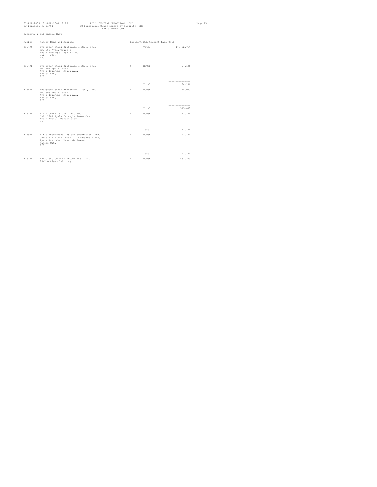|        | 01-APR-2009 01-APR-2009 11:20<br>PHIL. CENTRAL DEPOSITORY, INC.<br>eq_bensecge_r.sql/01<br>EQ Beneficial Owner Report by Security (QE)<br>$for 31-MAP-2009$ |   |                                 |                                | Page 15 |
|--------|-------------------------------------------------------------------------------------------------------------------------------------------------------------|---|---------------------------------|--------------------------------|---------|
|        | Security : ELI Empire East                                                                                                                                  |   |                                 |                                |         |
| Member | Member Name and Address                                                                                                                                     |   | Resident Sub-Account Name Units |                                |         |
| B154AC | Evergreen Stock Brokerage & Sec., Inc.<br>Rm. 606 Avala Tower I<br>Ayala Triangle, Ayala Ave.<br>Makati City<br>1200                                        |   | Total                           | 47, 462, 714                   |         |
| R154AP | Evergreen Stock Brokerage & Sec., Inc.<br>Rm. 606 Ayala Tower I<br>Ayala Triangle, Ayala Ave.<br>Makati City<br>1200                                        | Y | HOUSE                           | 94,186                         |         |
|        |                                                                                                                                                             |   | Total                           | ---------------<br>94,186      |         |
| B154FC | Evergreen Stock Brokerage & Sec., Inc.<br>Rm. 606 Ayala Tower I<br>Ayala Triangle, Ayala Ave.<br>Makati City<br>1200                                        | Y | HOUSE                           | 315,000                        |         |
|        |                                                                                                                                                             |   | Total                           | ---------------<br>315,000     |         |
| B157AC | FIRST ORIENT SECURITIES, INC.<br>Unit 1201 Ayala Triangle Tower One<br>Ayala Avenue, Makati City<br>1226                                                    | Y | HOUSE                           | 2, 113, 184                    |         |
|        |                                                                                                                                                             |   | Total                           | ---------------<br>2, 113, 184 |         |
| R159AC | First Integrated Capital Securities, Inc.<br>Units 1211-1212 Tower I & Exchange Plaza,<br>Avala Ave. Cor. Paseo de Roxas,<br>Makati City<br>1200            | Y | HOUSE                           | 47,131                         |         |
|        |                                                                                                                                                             |   | Total                           | ---------------<br>47,131      |         |
| B161AC | FRANCISCO ORTIGAS SECURITIES, INC.<br>10/F Ortigas Building                                                                                                 | Y | HOUSE                           | 2,463,273                      |         |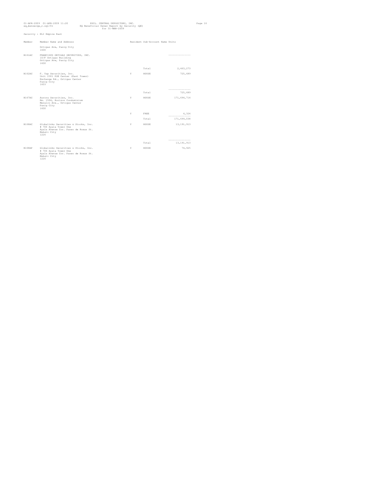|               | 01-APR-2009 01-APR-2009 11:20<br>eq_bensecqe_r.sql/01                                                                        | EQ Beneficial Owner Report by Security (QE) | PHIL. CENTRAL DEPOSITORY, INC.<br>for 31-MAR-2009 |   |                                 |                                 | Page 16 |
|---------------|------------------------------------------------------------------------------------------------------------------------------|---------------------------------------------|---------------------------------------------------|---|---------------------------------|---------------------------------|---------|
|               | Security : ELI Empire East                                                                                                   |                                             |                                                   |   |                                 |                                 |         |
| Member        | Member Name and Address                                                                                                      |                                             |                                                   |   | Resident Sub-Account Name Units |                                 |         |
|               | Ortigas Ave, Pasig City<br>1600                                                                                              |                                             |                                                   |   |                                 |                                 |         |
| B161AC        | FRANCISCO ORTIGAS SECURITIES, INC.<br>10/F Ortigas Building<br>Ortigas Ave, Pasig City<br>1600                               |                                             |                                                   |   |                                 | -----------------               |         |
|               |                                                                                                                              |                                             |                                                   |   | Total                           | 2,463,273                       |         |
| <b>B162AC</b> | F. Yap Securities, Inc.<br>Unit 2301 PSE Center (East Tower)<br>Exchange Rd., Ortigas Center<br>Pasiq City<br>1603           |                                             |                                                   | Y | HOUSE                           | 725,689                         |         |
|               |                                                                                                                              |                                             |                                                   |   | Total                           | ---------------<br>725,689      |         |
| B167AC        | Aurora Securities, Inc.<br>Rm. 1504, Horizon Condominium<br>Meralco Ave., Ortigas Center<br>Pasiq City<br>1600               |                                             |                                                   | Y | HOUSE                           | 171,694,714                     |         |
|               |                                                                                                                              |                                             |                                                   | Y | FREE                            | 4,324<br>----------------       |         |
|               |                                                                                                                              |                                             |                                                   |   | Total                           | 171,699,038                     |         |
| R168AC        | Globalinks Securities & Stocks, Inc.<br># 706 Ayala Tower One<br>Ayala Avenue Cor. Paseo de Roxas St.<br>Makati City<br>1226 |                                             |                                                   | Y | HOUSE                           | 13, 191, 913                    |         |
|               |                                                                                                                              |                                             |                                                   |   | Total                           | ---------------<br>13, 191, 913 |         |
| B168AP        | Globalinks Securities & Stocks, Inc.<br># 706 Ayala Tower One<br>Ayala Avenue Cor. Paseo de Roxas St.<br>Makati City<br>1226 |                                             |                                                   | Y | HOUSE                           | 74,925                          |         |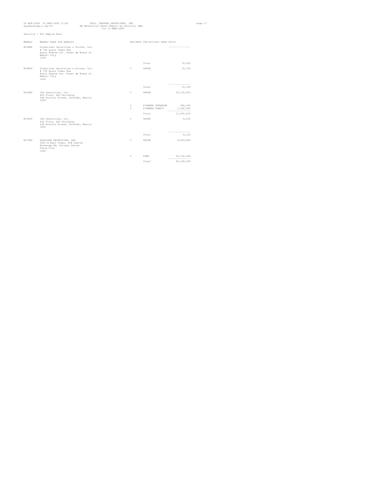| eq_bensecqe_r.sql/01 | 01-APR-2009 01-APR-2009 11:20                                                                                                | EQ Beneficial Owner Report by Security (QE) | PHIL. CENTRAL DEPOSITORY, INC.<br>$for 31 - \text{MAR} - 2009$ |                                    |                                          | Page 17 |
|----------------------|------------------------------------------------------------------------------------------------------------------------------|---------------------------------------------|----------------------------------------------------------------|------------------------------------|------------------------------------------|---------|
|                      | Security : ELI Empire East                                                                                                   |                                             |                                                                |                                    |                                          |         |
| Member               | Member Name and Address                                                                                                      |                                             |                                                                | Resident Sub-Account Name Units    |                                          |         |
| <b>B168AP</b>        | Globalinks Securities & Stocks, Inc.<br># 706 Ayala Tower One<br>Ayala Avenue Cor. Paseo de Roxas St.<br>Makati City<br>1226 |                                             |                                                                |                                    | ---------------                          |         |
|                      |                                                                                                                              |                                             |                                                                | Total                              | 74,925                                   |         |
| B168FC               | Globalinks Securities & Stocks, Inc.<br># 706 Ayala Tower One<br>Ayala Avenue Cor. Paseo de Roxas St.<br>Makati City<br>1226 |                                             | Y.                                                             | HOUSE                              | 15,318                                   |         |
|                      |                                                                                                                              |                                             |                                                                | Total                              | ----------------<br>15,318               |         |
| B169AC               | JSG Securities, Inc.<br>4th Floor, A&T Building,<br>244 Escolta Street, Binondo, Manila<br>1006                              |                                             | Y                                                              | HOUSE                              | 10, 135, 814                             |         |
|                      |                                                                                                                              |                                             | Y<br>Y.                                                        | PIONEER INTERCON<br>PIONEER SURETY | 300,000<br>1,000,000<br>---------------- |         |
|                      |                                                                                                                              |                                             |                                                                | Total                              | 11, 435, 814                             |         |
| B169FC               | JSG Securities, Inc.<br>4th Floor, A&T Building,<br>244 Escolta Street, Binondo, Manila<br>1006                              |                                             | Y                                                              | HOUSE                              | 8,232                                    |         |
|                      |                                                                                                                              |                                             |                                                                | Total                              | 8,232                                    |         |
| B170AC               | GOLDSTAR SECURITIES, INC.<br>2201-B East Tower, PSE Centre<br>Exchange Rd, Ortigas Center<br>Pasiq City<br>1600              |                                             | Y                                                              | HOUSE                              | 9,449,880                                |         |
|                      |                                                                                                                              |                                             | Y                                                              | FREE                               | 36,736,386<br>----------------           |         |
|                      |                                                                                                                              |                                             |                                                                | Total                              | 46,186,266                               |         |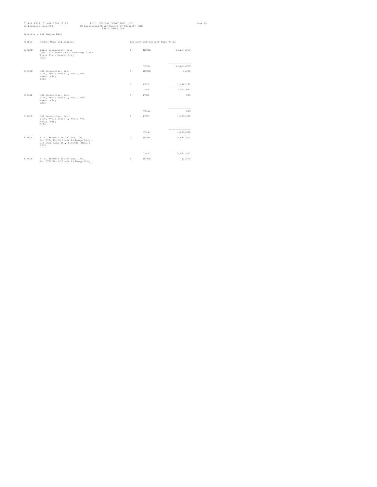|        | 01-APR-2009 01-APR-2009 11:20<br>eq_bensecqe_r.sql/01                                                                | PHIL. CENTRAL DEPOSITORY, INC.<br>EQ Beneficial Owner Report by Security (QE)<br>$for 31 - \text{MAR} - 2009$ |   |                                 |                                 | Page 18 |
|--------|----------------------------------------------------------------------------------------------------------------------|---------------------------------------------------------------------------------------------------------------|---|---------------------------------|---------------------------------|---------|
|        | Security : ELI Empire East                                                                                           |                                                                                                               |   |                                 |                                 |         |
| Member | Member Name and Address                                                                                              |                                                                                                               |   | Resident Sub-Account Name Units |                                 |         |
| B172AC | Guild Securities, Inc.<br>Unit 1215 Tower One & Exchange Plaza<br>Ayala Ave., Makati City<br>1226                    |                                                                                                               | Y | HOUSE                           | 23, 284, 859                    |         |
|        |                                                                                                                      |                                                                                                               |   | Total                           | ---------------<br>23, 284, 859 |         |
| B174AC | HDI Securities, Inc.<br>11/F, Ayala Tower I, Ayala Ave.<br>Makati City<br>1226                                       |                                                                                                               | Y | HOUSE                           | 1,880                           |         |
|        |                                                                                                                      |                                                                                                               | Y | FREE                            | 2,840,182<br>---------------    |         |
|        |                                                                                                                      |                                                                                                               |   | Total                           | 2,842,062                       |         |
| B174AP | HDI Securities, Inc.<br>11/F, Ayala Tower I, Ayala Ave.<br>Makati City<br>1226                                       |                                                                                                               | Y | FREE.                           | 838                             |         |
|        |                                                                                                                      |                                                                                                               |   | Total                           | ----------------<br>838         |         |
| B174FC | HDI Securities, Inc.<br>11/F, Ayala Tower I, Ayala Ave.<br>Makati City<br>1226                                       |                                                                                                               | Y | FREE                            | 1,226,360                       |         |
|        |                                                                                                                      |                                                                                                               |   | Total                           | ----------------<br>1,226,360   |         |
| B175AC | H. E. BENNETT SECURITIES, INC.<br>Rm. 1704 World Trade Exchange Bldg.,<br>215 Juan Luna St., Binondo, Manila<br>1006 |                                                                                                               | Y | HOUSE                           | 5,081,501                       |         |
|        |                                                                                                                      |                                                                                                               |   | Total                           | ----------------<br>5,081,501   |         |
| B175AP | H. E. BENNETT SECURITIES, INC.<br>Rm. 1704 World Trade Exchange Bldg.,                                               |                                                                                                               | Y | HOUSE                           | 112,679                         |         |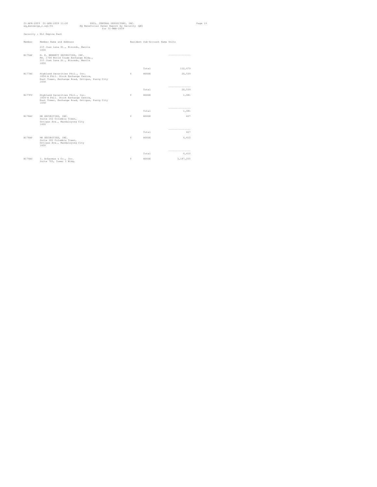| eq_bensecge_r.sql/01 | 01-APR-2009 01-APR-2009 11:20                                                                                                    | PHIL. CENTRAL DEPOSITORY, INC.<br>EQ Beneficial Owner Report by Security (QE) | $for 31 - \text{MAR} - 2009$ |                                 |                             | Page 19 |
|----------------------|----------------------------------------------------------------------------------------------------------------------------------|-------------------------------------------------------------------------------|------------------------------|---------------------------------|-----------------------------|---------|
|                      | Security : ELI Empire East                                                                                                       |                                                                               |                              |                                 |                             |         |
| Member               | Member Name and Address                                                                                                          |                                                                               |                              | Resident Sub-Account Name Units |                             |         |
|                      | 215 Juan Luna St., Binondo, Manila<br>1006                                                                                       |                                                                               |                              |                                 |                             |         |
| B175AP               | H. E. BENNETT SECURITIES, INC.<br>Rm. 1704 World Trade Exchange Bldg.,<br>215 Juan Luna St., Binondo, Manila<br>1006             |                                                                               |                              |                                 | -----------------           |         |
|                      |                                                                                                                                  |                                                                               |                              | Total                           | 112,679                     |         |
| B177AC               | Highland Securities Phil., Inc.<br>1604-A Phil. Stock Exchange Centre,<br>East Tower, Exchange Road, Ortigas, Pasig City<br>1658 |                                                                               | Y                            | HOUSE                           | 20,539                      |         |
|                      |                                                                                                                                  |                                                                               |                              | Total                           | -----------------<br>20,539 |         |
| B177FC               | Highland Securities Phil., Inc.<br>1604-A Phil. Stock Exchange Centre,<br>East Tower, Exchange Road, Ortigas, Pasig City<br>1658 |                                                                               | Y                            | HOUSE                           | 1,081                       |         |
|                      |                                                                                                                                  |                                                                               |                              | Total                           | ----------------<br>1,081   |         |
| B178AC               | HK SECURITIES, INC.<br>Suite 102 Columbia Tower,<br>Ortigas Ave., Mandaluyong City<br>1600                                       |                                                                               | Y                            | HOUSE                           | 427                         |         |
|                      |                                                                                                                                  |                                                                               |                              |                                 | ---------------             |         |
|                      |                                                                                                                                  |                                                                               |                              | Total                           | 427                         |         |
| B178AP               | HK SECURITIES, INC.<br>Suite 102 Columbia Tower.<br>Ortigas Ave., Mandaluyong City<br>1600                                       |                                                                               | Y.                           | HOUSE                           | 6.410                       |         |
|                      |                                                                                                                                  |                                                                               |                              | Total                           | -----------------<br>6,410  |         |
| B179AC               | I. Ackerman & Co., Inc.<br>Suite 705, Tower I Bldg.                                                                              |                                                                               | Y                            | HOUSE                           | 3,187,255                   |         |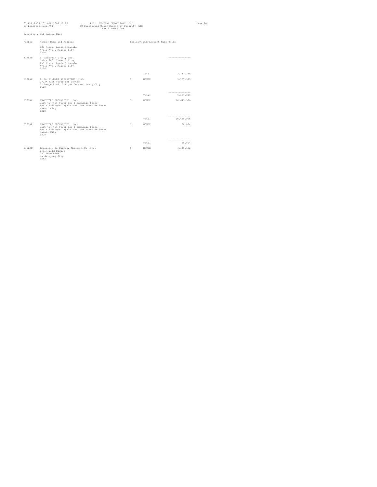| eq_bensecge_r.sql/01 | 01-APR-2009 01-APR-2009 11:20                                                                                                                 | PHIL. CENTRAL DEPOSITORY, INC.<br>EQ Beneficial Owner Report by Security (QE) | $for 31 - \text{MAR} - 2009$ |                                 |                                | Page 20 |
|----------------------|-----------------------------------------------------------------------------------------------------------------------------------------------|-------------------------------------------------------------------------------|------------------------------|---------------------------------|--------------------------------|---------|
|                      | Security : ELI Empire East                                                                                                                    |                                                                               |                              |                                 |                                |         |
| Member               | Member Name and Address                                                                                                                       |                                                                               |                              | Resident Sub-Account Name Units |                                |         |
|                      | PSE Plaza, Ayala Triangle<br>Ayala Ave., Makati City<br>1226                                                                                  |                                                                               |                              |                                 |                                |         |
| B179AC               | I. Ackerman & Co., Inc.<br>Suite 705, Tower I Bldg.<br>PSE Plaza, Ayala Triangle<br>Ayala Ave., Makati City<br>1226                           |                                                                               |                              |                                 | ----------------               |         |
|                      |                                                                                                                                               |                                                                               |                              | Total                           | 3,187,255                      |         |
| B180AC               | I. B. GIMENEZ SECURITIES, INC.<br>2703A East Tower PSE Centre<br>Exchange Road, Ortigas Centre, Pasig City<br>1600                            |                                                                               | Y                            | HOUSE                           | 9,137,939                      |         |
|                      |                                                                                                                                               |                                                                               |                              | Total                           | -----------------<br>9,137,939 |         |
| B181AC               | INVESTORS SECURITIES, INC.<br>Unit 604-605 Tower One & Exchange Plaza<br>Ayala Triangle, Ayala Ave. cor Paseo de Roxas<br>Makati City<br>1200 |                                                                               | Y                            | HOUSE                           | 10,645,956                     |         |
|                      |                                                                                                                                               |                                                                               |                              | Total                           | ----------------<br>10,645,956 |         |
| B181AP               | INVESTORS SECURITIES, INC,<br>Unit 604-605 Tower One & Exchange Plaza<br>Ayala Triangle, Ayala Ave. cor Paseo de Roxas<br>Makati City<br>1200 |                                                                               | Y                            | HOUSE                           | 38,854                         |         |
|                      |                                                                                                                                               |                                                                               |                              | Total                           | ----------------<br>38,854     |         |
| B182AC               | Imperial, De Guzman, Abalos & Co., Inc.<br>Greenfield Bldg.I<br>750 Shaw Blvd.<br>Mandaluyong City<br>1552                                    |                                                                               | Y                            | HOUSE                           | 4,340,632                      |         |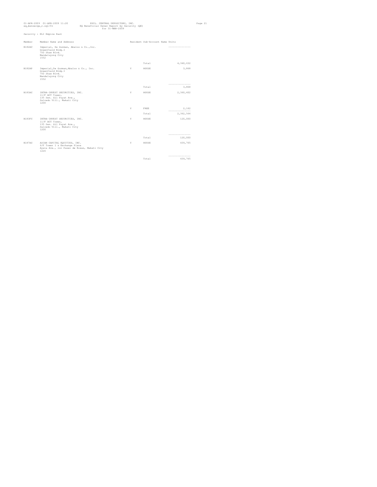|        | 01-APR-2009 01-APR-2009 11:20<br>ed bensecde r.sdl/01                                                               | PHIL. CENTRAL DEPOSITORY, INC.<br>EQ Beneficial Owner Report by Security (QE)<br>for 31-MAR-2009 |    |                                 |                              | Page 21 |
|--------|---------------------------------------------------------------------------------------------------------------------|--------------------------------------------------------------------------------------------------|----|---------------------------------|------------------------------|---------|
|        | Security : ELI Empire East                                                                                          |                                                                                                  |    |                                 |                              |         |
| Member | Member Name and Address                                                                                             |                                                                                                  |    | Resident Sub-Account Name Units |                              |         |
| B182AC | Imperial, De Guzman, Abalos & Co., Inc.<br>Greenfield Bldg.I<br>750 Shaw Blvd.<br>Mandaluyong City<br>1552          |                                                                                                  |    |                                 | ---------------              |         |
|        |                                                                                                                     |                                                                                                  |    | Total                           | 4,340,632                    |         |
| B182AP | Imperial, De Guzman, Abalos & Co., Inc.<br>Greenfield Bldg.I<br>750 Shaw Blvd.<br>Mandaluyong City<br>1552          |                                                                                                  | Y  | HOUSE                           | 3,868                        |         |
|        |                                                                                                                     |                                                                                                  |    | Total                           | -----------------<br>3,868   |         |
| B183AC | INTRA-INVEST SECURITIES, INC.<br>11/F ACT Tower.<br>135 Sen. Gil Puyat Ave.,<br>Salcedo Vill., Makati City<br>1200  |                                                                                                  | Y  | HOUSE                           | 2,360,402                    |         |
|        |                                                                                                                     |                                                                                                  | Y. | FREE                            | 2,162                        |         |
|        |                                                                                                                     |                                                                                                  |    | Total                           | ---------------<br>2,362,564 |         |
| B183FC | INTRA-INVEST SECURITIES, INC.<br>11/F ACT Tower.<br>135 Sen. Gil Puyat Ave.,<br>Salcedo Vill., Makati City<br>1200  |                                                                                                  | Y  | HOUSE                           | 120,000                      |         |
|        |                                                                                                                     |                                                                                                  |    | Total                           | -----------------<br>120,000 |         |
| B187AC | ASIAN CAPITAL EQUITIES, INC.<br>6/F Tower 1 & Exchange Plaza<br>Ayala Ave., cor Paseo de Roxas, Makati City<br>1226 |                                                                                                  | Y  | HOUSE                           | 439,765                      |         |
|        |                                                                                                                     |                                                                                                  |    | Total                           | ---------------<br>439,765   |         |
|        |                                                                                                                     |                                                                                                  |    |                                 |                              |         |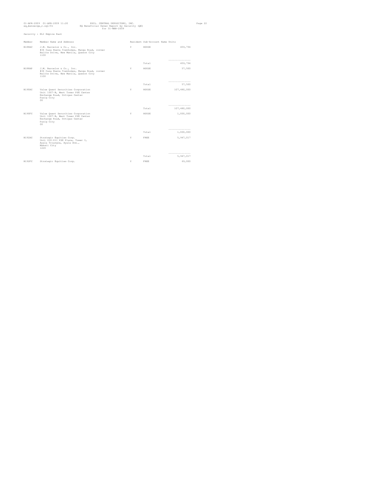| eq_bensecqe_r.sql/01 | 01-APR-2009 01-APR-2009 11:20                                                                                                 | PHIL. CENTRAL DEPOSITORY, INC.<br>EQ Beneficial Owner Report by Security (QE)<br>$for 31 - \text{MAR} - 2009$ |   |                                 |                                 |  |  |
|----------------------|-------------------------------------------------------------------------------------------------------------------------------|---------------------------------------------------------------------------------------------------------------|---|---------------------------------|---------------------------------|--|--|
|                      | Security : ELI Empire East                                                                                                    |                                                                                                               |   |                                 |                                 |  |  |
| Member               | Member Name and Address                                                                                                       |                                                                                                               |   | Resident Sub-Account Name Units |                                 |  |  |
| B188AC               | J.M. Barcelon & Co., Inc.<br>#34 Casa Nueva Townhomes, Manga Road, corner<br>Balite Drive, New Manila, Quezon City<br>1100    |                                                                                                               | Y | HOUSE                           | 459,794                         |  |  |
|                      |                                                                                                                               |                                                                                                               |   | Total                           | ---------------<br>459,794      |  |  |
| B188AP               | J.M. Barcelon & Co., Inc.<br>#34 Casa Nueva Townhomes, Manga Road, corner<br>Balite Drive, New Manila, Quezon City<br>1100    |                                                                                                               | Y | HOUSE                           | 57,500                          |  |  |
|                      |                                                                                                                               |                                                                                                               |   | Total                           | ---------------<br>57,500       |  |  |
| B190AC               | Value Quest Securities Corporation<br>Unit 1007-B, West Tower PSE Center<br>Exchange Road, Ortigas Center<br>Pasiq City<br>00 |                                                                                                               | Y | HOUSE                           | 107,480,000                     |  |  |
|                      |                                                                                                                               |                                                                                                               |   | Total                           | ----------------<br>107,480,000 |  |  |
| B190FC               | Value Quest Securities Corporation<br>Unit 1007-B, West Tower PSE Center<br>Exchange Road, Ortigas Center<br>Pasiq City<br>00 |                                                                                                               | Y | HOUSE                           | 1,000,000                       |  |  |
|                      |                                                                                                                               |                                                                                                               |   | Total                           | ----------------<br>1,000,000   |  |  |
| B192AC               | Strategic Equities Corp.<br>Unit 610-611 PSE Plaza, Tower I,<br>Ayala Triangle, Ayala Ave.,<br>Makati City<br>1226            |                                                                                                               | Y | FREE                            | 5,947,017                       |  |  |
|                      |                                                                                                                               |                                                                                                               |   | Total                           | -----------------<br>5,947,017  |  |  |
| B192FC               | Strategic Equities Corp.                                                                                                      |                                                                                                               | Y | FREE                            | 69,000                          |  |  |
|                      |                                                                                                                               |                                                                                                               |   |                                 |                                 |  |  |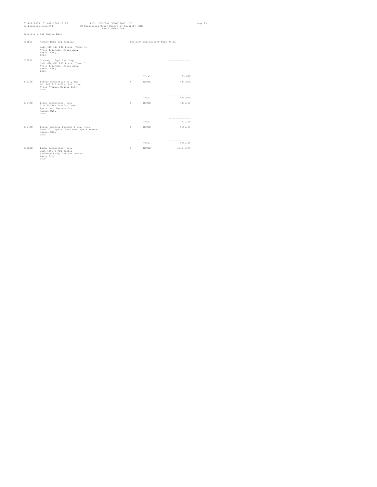| 01-APR-2009 01-APR-2009 11:20<br>PHIL. CENTRAL DEPOSITORY, INC.<br>eq_bensecge_r.sql/01<br>EQ Beneficial Owner Report by Security (QE)<br>$for 31 - \text{MAR} - 2009$ |                                                                                                                    |  |  |   |                                 | Page 23                     |  |
|------------------------------------------------------------------------------------------------------------------------------------------------------------------------|--------------------------------------------------------------------------------------------------------------------|--|--|---|---------------------------------|-----------------------------|--|
|                                                                                                                                                                        | Security : ELI Empire East                                                                                         |  |  |   |                                 |                             |  |
| Member                                                                                                                                                                 | Member Name and Address                                                                                            |  |  |   | Resident Sub-Account Name Units |                             |  |
|                                                                                                                                                                        | Unit 610-611 PSE Plaza, Tower I,<br>Ayala Triangle, Ayala Ave.,<br>Makati City<br>1226                             |  |  |   |                                 |                             |  |
| B192FC                                                                                                                                                                 | Strategic Equities Corp.<br>Unit 610-611 PSE Plaza, Tower I,<br>Ayala Triangle, Ayala Ave.,<br>Makati City<br>1226 |  |  |   |                                 | -----------------           |  |
|                                                                                                                                                                        |                                                                                                                    |  |  |   | Total                           | 69,000                      |  |
| <b>B193AC</b>                                                                                                                                                          | Larrgo Securities Co., Inc.<br>Rm. 202 2/F Rufino Building,<br>Ayala Avenue, Makati City<br>1226                   |  |  | Y | HOUSE                           | 614,000                     |  |
|                                                                                                                                                                        |                                                                                                                    |  |  |   | Total                           | ----------------<br>614,000 |  |
| B194AC                                                                                                                                                                 | Lippo Securities, Inc.<br>31/F Rufino Pacific Tower<br>Ayala cor. Herrera Sts.<br>Makati City<br>1226              |  |  | Y | HOUSE                           | 141,105                     |  |
|                                                                                                                                                                        |                                                                                                                    |  |  |   |                                 | ---------------             |  |
|                                                                                                                                                                        |                                                                                                                    |  |  |   | Total                           | 141,105                     |  |
| B197AC                                                                                                                                                                 | Lopez, Locsin, Ledesma & Co., Inc.<br>Room 702, Ayala Tower One, Ayala Avenue,<br>Makati City<br>1226              |  |  | Y | HOUSE                           | 555,135                     |  |
|                                                                                                                                                                        |                                                                                                                    |  |  |   | Total                           | ----------------<br>555,135 |  |
| B198AC                                                                                                                                                                 | Lucky Securities, Inc.<br>Unit 1402-B PSE Center<br>Exchange Road, Ortigas Center<br>Pasiq City<br>1600            |  |  | Y | HOUSE                           | 3,104,975                   |  |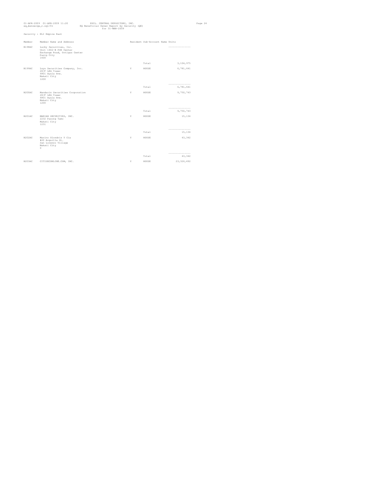| 01-APR-2009 01-APR-2009 11:20<br>eq_bensecge_r.sql/01 |                                                                                                         | PHIL. CENTRAL DEPOSITORY, INC.<br>EQ Beneficial Owner Report by Security (QE)<br>for 31-MAR-2009 |   |                                 |                              |  |
|-------------------------------------------------------|---------------------------------------------------------------------------------------------------------|--------------------------------------------------------------------------------------------------|---|---------------------------------|------------------------------|--|
|                                                       | Security : ELI Empire East                                                                              |                                                                                                  |   |                                 |                              |  |
| Member                                                | Member Name and Address                                                                                 |                                                                                                  |   | Resident Sub-Account Name Units |                              |  |
| B198AC                                                | Lucky Securities, Inc.<br>Unit 1402-B PSE Center<br>Exchange Road, Ortigas Center<br>Pasiq City<br>1600 |                                                                                                  |   |                                 | ----------------             |  |
|                                                       |                                                                                                         |                                                                                                  |   | Total                           | 3,104,975                    |  |
| B199AC                                                | Luys Securities Company, Inc.<br>28/F LKG Tower<br>6801 Ayala Ave.<br>Makati City<br>1200               |                                                                                                  | Y | HOUSE                           | 6,781,641                    |  |
|                                                       |                                                                                                         |                                                                                                  |   | Total                           | ---------------<br>6,781,641 |  |
| B200AC                                                | Mandarin Securities Corporation                                                                         |                                                                                                  | Y | HOUSE                           | 9,750,743                    |  |
|                                                       | 28/F LKG Tower<br>6801 Ayala Ave.<br>Makati City<br>1200                                                |                                                                                                  |   |                                 |                              |  |
|                                                       |                                                                                                         |                                                                                                  |   | Total                           | ---------------<br>9,750,743 |  |
| B201AC                                                | MARIAN SECURITIES, INC.<br>2232 Pasong Tamo<br>Makati City<br>1231                                      |                                                                                                  | Y | HOUSE                           | 15,134                       |  |
|                                                       |                                                                                                         |                                                                                                  |   | Total                           | ----------------             |  |
|                                                       |                                                                                                         |                                                                                                  |   |                                 | 15,134                       |  |
| B202AC                                                | Marino Olondriz Y Cia<br>#20 Arquilla St.<br>San Lorenzo Village<br>Makati City<br>$\Omega$             |                                                                                                  | Y | HOUSE                           | 43,342                       |  |
|                                                       |                                                                                                         |                                                                                                  |   | Total                           | ------------------<br>43,342 |  |
| B203AC                                                |                                                                                                         |                                                                                                  | Y | HOUSE                           | 23, 326, 492                 |  |
|                                                       | CITISECONLINE.COM, INC.                                                                                 |                                                                                                  |   |                                 |                              |  |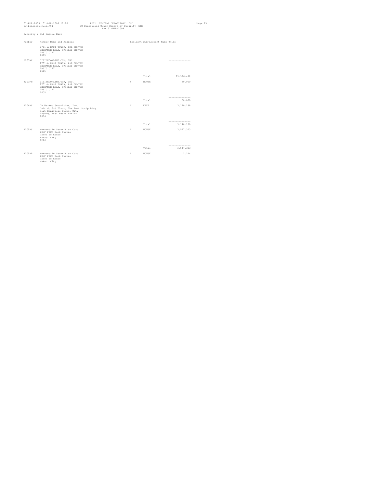|        | 01-APR-2009 01-APR-2009 11:20<br>PHIL. CENTRAL DEPOSITORY, INC.<br>eq_bensecqe_r.sql/01<br>EQ Beneficial Owner Report by Security (QE)<br>$for 31-MAP-2009$<br>Security : ELI Empire East |    |                                 |                                | Page 25 |
|--------|-------------------------------------------------------------------------------------------------------------------------------------------------------------------------------------------|----|---------------------------------|--------------------------------|---------|
|        |                                                                                                                                                                                           |    |                                 |                                |         |
| Member | Member Name and Address                                                                                                                                                                   |    | Resident Sub-Account Name Units |                                |         |
|        | 2701-A EAST TOWER, PSE CENTRE<br>EXCHANGE ROAD, ORTIGAS CENTER<br>PASIG CITY<br>1605                                                                                                      |    |                                 |                                |         |
| B203AC | CITISECONLINE.COM, INC.<br>2701-A EAST TOWER, PSE CENTRE<br>EXCHANGE ROAD, ORTIGAS CENTER<br>PASIG CITY<br>1605                                                                           |    |                                 | -----------------              |         |
|        |                                                                                                                                                                                           |    | Total                           | 23, 326, 492                   |         |
| B203FC | CITISECONLINE.COM, INC.<br>2701-A EAST TOWER, PSE CENTRE<br>EXCHANGE ROAD, ORTIGAS CENTER<br>PASIG CITY<br>1605                                                                           | Y  | HOUSE                           | 80,000                         |         |
|        |                                                                                                                                                                                           |    | Total                           | ----------------<br>80,000     |         |
|        |                                                                                                                                                                                           |    |                                 |                                |         |
| B204AC | DA Market Securities, Inc.<br>Unit 6, 3rd Floor, The Fort Strip Bldg.<br>Fort Bonifacio Global City<br>Taquiq, 1634 Metro Manila<br>1634                                                  | Y. | FREE                            | 3,140,138                      |         |
|        |                                                                                                                                                                                           |    | Total                           | ---------------<br>3,140,138   |         |
| B205AC |                                                                                                                                                                                           | Y. | HOUSE                           |                                |         |
|        | Mercantile Securities Corp.<br>20/F PDCP Bank Centre<br>Paseo de Roxas<br>Makati City<br>1226                                                                                             |    |                                 | 3,547,323                      |         |
|        |                                                                                                                                                                                           |    | Total                           | -----------------<br>3,547,323 |         |
| B205AP | Mercantile Securities Corp.<br>20/F PDCP Bank Centre<br>Paseo de Roxas<br>Makati City                                                                                                     | Y  | HOUSE                           | 1,244                          |         |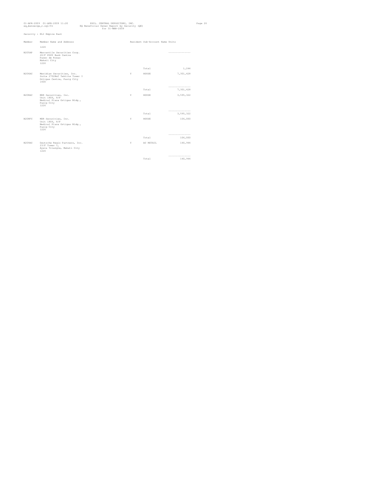| ed bensecde r.sdl/01 | 01-APR-2009 01-APR-2009 11:20                                                                    | PHIL. CENTRAL DEPOSITORY, INC.<br>EQ Beneficial Owner Report by Security (QE)<br>for $31-MAR-2009$ |   |                                 |                              | Page 26 |
|----------------------|--------------------------------------------------------------------------------------------------|----------------------------------------------------------------------------------------------------|---|---------------------------------|------------------------------|---------|
|                      | Security : ELI Empire East                                                                       |                                                                                                    |   |                                 |                              |         |
| Member               | Member Name and Address                                                                          |                                                                                                    |   | Resident Sub-Account Name Units |                              |         |
|                      | 1226                                                                                             |                                                                                                    |   |                                 |                              |         |
| B205AP               | Mercantile Securities Corp.<br>20/F PDCP Bank Centre<br>Paseo de Roxas<br>Makati City<br>1226    |                                                                                                    |   |                                 | ---------------              |         |
|                      |                                                                                                  |                                                                                                    |   | Total                           | 1,244                        |         |
| B206AC               | Meridian Securities, Inc.<br>Suite 2702B&C Tektite Tower I<br>Ortigas Centre, Pasig City<br>1600 |                                                                                                    | Y | HOUSE                           | 7,301,428                    |         |
|                      |                                                                                                  |                                                                                                    |   | Total                           | ---------------<br>7,301,428 |         |
| B208AC               | MDR Securities, Inc.<br>Unit 1806, 8/F<br>Medical Plaza Ortigas Bldg.,<br>Pasiq City<br>1226     |                                                                                                    | Y | HOUSE                           | 3,595,322                    |         |
|                      |                                                                                                  |                                                                                                    |   |                                 | ---------------              |         |
|                      |                                                                                                  |                                                                                                    |   | Total                           | 3,595,322                    |         |
| B208FC               | MDR Securities, Inc.<br>Unit 1806, 8/F<br>Medical Plaza Ortigas Bldg.,<br>Pasiq City<br>1226     |                                                                                                    | Y | HOUSE                           | 106,000                      |         |
|                      |                                                                                                  |                                                                                                    |   | Total                           | ---------------<br>106,000   |         |
| B209AC               | Deutsche Regis Partners, Inc.<br>23/F Tower I,<br>Ayala Triangle, Makati City<br>1226            |                                                                                                    | Y | AC RETAIL                       | 140,944                      |         |
|                      |                                                                                                  |                                                                                                    |   |                                 | ------------------           |         |
|                      |                                                                                                  |                                                                                                    |   | Total                           | 140,944                      |         |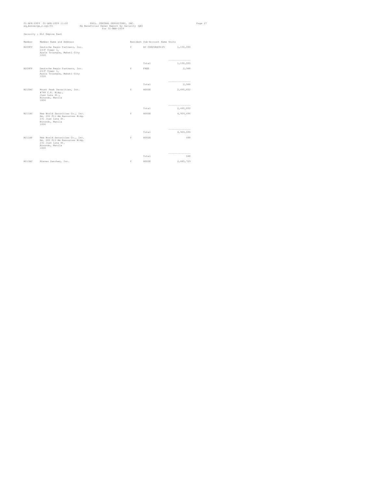| eq_bensecge_r.sql/01 | 01-APR-2009 01-APR-2009 11:20                                                                                    | PHIL. CENTRAL DEPOSITORY, INC.<br>EQ Beneficial Owner Report by Security (QE)<br>$for 31 - \text{MAR} - 2009$ |    |                                 |                              | Page 27 |
|----------------------|------------------------------------------------------------------------------------------------------------------|---------------------------------------------------------------------------------------------------------------|----|---------------------------------|------------------------------|---------|
|                      | Security : ELI Empire East                                                                                       |                                                                                                               |    |                                 |                              |         |
| Member               | Member Name and Address                                                                                          |                                                                                                               |    | Resident Sub-Account Name Units |                              |         |
| B209FC               | Deutsche Regis Partners, Inc.<br>23/F Tower I,<br>Ayala Triangle, Makati City<br>1226                            |                                                                                                               | Y. | AC CORPORATE (F)                | 1,150,000                    |         |
|                      |                                                                                                                  |                                                                                                               |    | Total                           | ---------------<br>1,150,000 |         |
| B209FP               | Deutsche Regis Partners, Inc.<br>23/F Tower I,<br>Ayala Triangle, Makati City<br>1226                            |                                                                                                               | Y  | FREE                            | 2,948                        |         |
|                      |                                                                                                                  |                                                                                                               |    | Total                           | -----------------<br>2,948   |         |
| B210AC               | Mount Peak Securities, Inc.<br>#748 C.K. Bldg.,<br>Juan Luna St.,<br>Binondo, Manila<br>1006                     |                                                                                                               | Y  | HOUSE                           | 2,495,832                    |         |
|                      |                                                                                                                  |                                                                                                               |    | Total                           | ---------------<br>2,495,832 |         |
| B211AC               | New World Securities Co., Inc.<br>Rm. 202 Fil-Am Resources Bldg.<br>231 Juan Luna St.<br>Binondo, Manila<br>1006 |                                                                                                               | Y  | HOUSE                           | 4,909,696                    |         |
|                      |                                                                                                                  |                                                                                                               |    | Total                           | ---------------<br>4,909,696 |         |
| B211AP               | New World Securities Co., Inc.<br>Rm. 202 Fil-Am Resources Bldg.<br>231 Juan Luna St.<br>Binondo, Manila<br>1006 |                                                                                                               | Y  | HOUSE                           | 648                          |         |
|                      |                                                                                                                  |                                                                                                               |    | Total                           | -----------------<br>648     |         |
| B213AC               | Nieves Sanchez, Inc.                                                                                             |                                                                                                               | Y  | HOUSE                           | 2,445,729                    |         |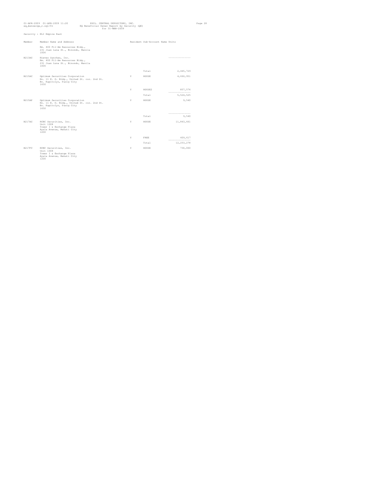|        | 01-APR-2009 01-APR-2009 11:20<br>PHIL. CENTRAL DEPOSITORY, INC.<br>eq_bensecqe_r.sql/01<br>EQ Beneficial Owner Report by Security (QE)<br>for 31-MAR-2009 |  |   |                                 |                                  | Page 28 |
|--------|-----------------------------------------------------------------------------------------------------------------------------------------------------------|--|---|---------------------------------|----------------------------------|---------|
|        | Security : ELI Empire East                                                                                                                                |  |   |                                 |                                  |         |
| Member | Member Name and Address                                                                                                                                   |  |   | Resident Sub-Account Name Units |                                  |         |
|        | Rm. 400 Fil-Am Resources Bldg.,<br>231 Juan Luna St., Binondo, Manila<br>1006                                                                             |  |   |                                 |                                  |         |
| B213AC | Nieves Sanchez, Inc.<br>Rm. 400 Fil-Am Resources Bldg.,<br>231 Juan Luna St., Binondo, Manila<br>1006                                                     |  |   |                                 | ----------------                 |         |
|        |                                                                                                                                                           |  |   | Total                           | 2,445,729                        |         |
| B215AC | Optimum Securities Corporation<br>No. 11 E. O. Bldg., United St. cor. 2nd St.<br>Bo. Kapitolyo, Pasiq City<br>1650                                        |  | Y | HOUSE                           | 4,666,951                        |         |
|        |                                                                                                                                                           |  | Y | HOUSE2                          | 857,574<br>---------------       |         |
|        |                                                                                                                                                           |  |   | Total                           | 5,524,525                        |         |
| R215AP | Optimum Securities Corporation<br>No. 11 E. O. Bldg., United St. cor. 2nd St.<br>Bo. Kapitolyo, Pasiq City<br>1650                                        |  | Y | HOUSE                           | 9,540                            |         |
|        |                                                                                                                                                           |  |   | Total                           | ---------------<br>9,540         |         |
| B217AC | RCBC Securities, Inc.                                                                                                                                     |  | Y | HOUSE                           | 11,843,661                       |         |
|        | Unit 1008<br>Tower I & Exchange Plaza<br>Ayala Avenue, Makati City<br>1200                                                                                |  |   |                                 |                                  |         |
|        |                                                                                                                                                           |  | Y | FREE                            | 409,617                          |         |
|        |                                                                                                                                                           |  |   | Total                           | ----------------<br>12, 253, 278 |         |
| B217FC | RCBC Securities, Inc.<br>Unit 1008<br>Tower I & Exchange Plaza<br>Ayala Avenue, Makati City<br>1200                                                       |  | Y | HOUSE                           | 730,000                          |         |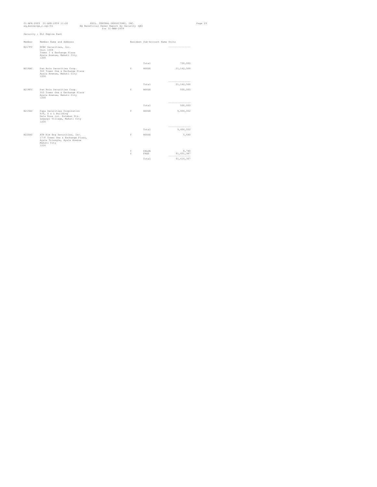| eq_bensecge_r.sql/01 | 01-APR-2009 01-APR-2009 11:20                                                                                                | EQ Beneficial Owner Report by Security (QE) | PHIL. CENTRAL DEPOSITORY, INC.<br>$for 31 - \text{MAR} - 2009$ |        |                                 |                                 | Page 29 |
|----------------------|------------------------------------------------------------------------------------------------------------------------------|---------------------------------------------|----------------------------------------------------------------|--------|---------------------------------|---------------------------------|---------|
|                      | Security : ELI Empire East                                                                                                   |                                             |                                                                |        |                                 |                                 |         |
| Member               | Member Name and Address                                                                                                      |                                             |                                                                |        | Resident Sub-Account Name Units |                                 |         |
| B217FC               | RCBC Securities, Inc.<br>Tnif 1008<br>Tower I & Exchange Plaza<br>Ayala Avenue, Makati City<br>1200                          |                                             |                                                                |        |                                 | -----------------               |         |
|                      |                                                                                                                              |                                             |                                                                |        | Total                           | 730,000                         |         |
| B218AC               | Pan Asia Securities Corp.<br>910 Tower One & Exchange Plaza<br>Ayala Avenue, Makati City<br>1200                             |                                             |                                                                | Y      | HOUSE                           | 21, 142, 568                    |         |
|                      |                                                                                                                              |                                             |                                                                |        | Total                           | ---------------<br>21, 142, 568 |         |
| B218FC               | Pan Asia Securities Corp.<br>910 Tower One & Exchange Plaza<br>Avala Avenue, Makati City<br>1200                             |                                             |                                                                | Y      | HOUSE                           | 500,000                         |         |
|                      |                                                                                                                              |                                             |                                                                |        | Total                           | --------------------<br>500,000 |         |
| B219AC               | Papa Securities Corporation<br>$6/F$ , S & L Building<br>Dela Rosa cor. Esteban Sts.<br>Legaspi Village, Makati City<br>1200 |                                             |                                                                | Y      | HOUSE                           | 9,406,052                       |         |
|                      |                                                                                                                              |                                             |                                                                |        | Total                           | --------<br>9,406,052           |         |
| B220AC               | ATR Kim Eng Securities, Inc.                                                                                                 |                                             |                                                                | Y      | HOUSE                           | 5,640                           |         |
|                      | 17/F Tower One & Exchange Plaza,<br>Ayala Triangle, Ayala Avenue<br>Makati City<br>1226                                      |                                             |                                                                |        |                                 |                                 |         |
|                      |                                                                                                                              |                                             |                                                                | Y<br>Y | CALGA<br>FREE                   | 8,740                           |         |
|                      |                                                                                                                              |                                             |                                                                |        |                                 | 61,601,987<br>---------------   |         |
|                      |                                                                                                                              |                                             |                                                                |        | Total                           | 61, 616, 367                    |         |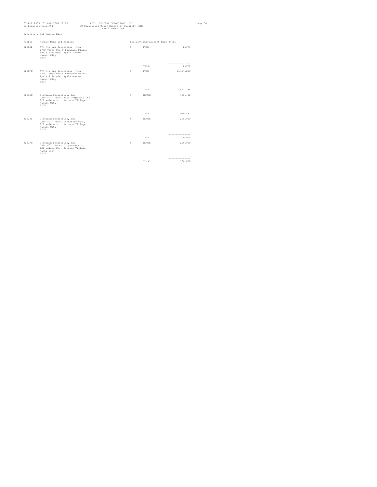| 01-APR-2009 01-APR-2009 11:20<br>Page 30<br>PHIL. CENTRAL DEPOSITORY, INC.<br>eq_bensecge_r.sql/01<br>EQ Beneficial Owner Report by Security (QE)<br>$for 31-MAR-2009$ |                                                                                                                             |    |                                 |                              |  |  |
|------------------------------------------------------------------------------------------------------------------------------------------------------------------------|-----------------------------------------------------------------------------------------------------------------------------|----|---------------------------------|------------------------------|--|--|
|                                                                                                                                                                        | Security : ELI Empire East                                                                                                  |    |                                 |                              |  |  |
| Member                                                                                                                                                                 | Member Name and Address                                                                                                     |    | Resident Sub-Account Name Units |                              |  |  |
| B220AP                                                                                                                                                                 | ATR Kim Eng Securities, Inc.<br>17/F Tower One & Exchange Plaza,<br>Ayala Triangle, Ayala Avenue<br>Makati City<br>1226     | Y. | FREE                            | 2,075                        |  |  |
|                                                                                                                                                                        |                                                                                                                             |    | Total                           | ---------------<br>2,075     |  |  |
| B220FC                                                                                                                                                                 | ATR Kim Eng Securities, Inc.<br>17/F Tower One & Exchange Plaza,<br>Ayala Triangle, Ayala Avenue<br>Makati City<br>1226     | Y  | FREE                            | 2,627,298                    |  |  |
|                                                                                                                                                                        |                                                                                                                             |    | Total                           | ---------------<br>2,627,298 |  |  |
| B223AC                                                                                                                                                                 | Platinum Securities, Inc.<br>Unit 801, Antel 2000 Corporate Ctr.,<br>121 Valero St., Salcedo Village<br>Makati City<br>1200 | Y  | HOUSE                           | 970,492                      |  |  |
|                                                                                                                                                                        |                                                                                                                             |    | Total                           | ----------------<br>970,492  |  |  |
| B223AP                                                                                                                                                                 | Platinum Securities, Inc.<br>Unit 801, Antel Corporate Ctr.,<br>121 Valero St., Salcedo Village<br>Makati City<br>1200      | Y. | HOUSE                           | 200,000                      |  |  |
|                                                                                                                                                                        |                                                                                                                             |    | Total                           | ---------------<br>200,000   |  |  |
| B223FC                                                                                                                                                                 | Platinum Securities, Inc.<br>Unit 801, Antel Corporate Ctr.,<br>121 Valero St., Salcedo Village<br>Makti City<br>1200       | Y. | HOUSE                           | 200,000                      |  |  |
|                                                                                                                                                                        |                                                                                                                             |    | Total                           | -----------------<br>200,000 |  |  |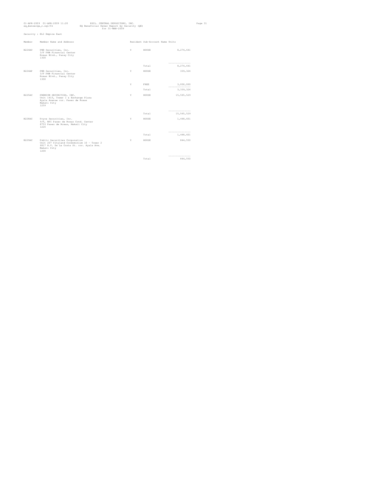|        | 01-APR-2009 01-APR-2009 11:20<br>eq_bensecge_r.sql/01                                                                                           | EQ Beneficial Owner Report by Security (QE) | PHIL. CENTRAL DEPOSITORY, INC.<br>$for 31 - \text{MAR} - 2009$ |    |                                 |                                 | Page 31 |
|--------|-------------------------------------------------------------------------------------------------------------------------------------------------|---------------------------------------------|----------------------------------------------------------------|----|---------------------------------|---------------------------------|---------|
|        | Security : ELI Empire East                                                                                                                      |                                             |                                                                |    |                                 |                                 |         |
| Member | Member Name and Address                                                                                                                         |                                             |                                                                |    | Resident Sub-Account Name Units |                                 |         |
| B224AC | PNB Securities, Inc.<br>3/F PNB Financial Center<br>Roxas Blvd., Pasav City<br>1300                                                             |                                             |                                                                | Y. | HOUSE                           | 8.274.641                       |         |
|        |                                                                                                                                                 |                                             |                                                                |    | Total                           | ----------------<br>8,274,641   |         |
| B224AP | PNB Securities, Inc.<br>3/F PNB Financial Center<br>Roxas Blvd., Pasay City<br>1300                                                             |                                             |                                                                | Y  | HOUSE                           | 339,324                         |         |
|        |                                                                                                                                                 |                                             |                                                                | Y  | FREE                            | 3,000,000                       |         |
|        |                                                                                                                                                 |                                             |                                                                |    | Total                           | ----------------<br>3, 339, 324 |         |
| B225AC | PREMIUM SECURITIES, INC.<br>Unit 1415, Tower 1 & Exchange Plaza<br>Avala Avenue cor. Paseo de Roxas<br>Makati City<br>1259                      |                                             |                                                                | Y  | HOUSE                           | 15,565,529                      |         |
|        |                                                                                                                                                 |                                             |                                                                |    | Total                           | ---------------<br>15,565,529   |         |
| R228AC | Pryce Securities, Inc.<br>9/F, BPI Paseo de Roxas Cond. Center<br>8753 Paseo de Roxas, Makati City<br>1226                                      |                                             |                                                                | Y  | HOUSE                           | 1,448,601                       |         |
|        |                                                                                                                                                 |                                             |                                                                |    | Total                           | -----------------<br>1,448,601  |         |
| B229AC | Public Securities Corporation<br>Unit 207 Cityland Condominium 10 - Tower 2<br>6817 H.V. De La Costa St. cor. Ayala Ave.<br>Makati City<br>1200 |                                             |                                                                | Y  | HOUSE                           | 844,550                         |         |
|        |                                                                                                                                                 |                                             |                                                                |    | Total                           | --------------------<br>844,550 |         |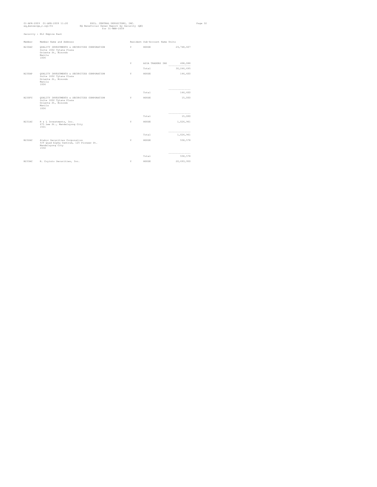| eq_bensecqe_r.sql/01 | 01-APR-2009 01-APR-2009 11:20                                                                                    | PHIL. CENTRAL DEPOSITORY, INC.<br>for 31-MAR-2009 | EQ Beneficial Owner Report by Security (QE) |                                 |                               |  |  |
|----------------------|------------------------------------------------------------------------------------------------------------------|---------------------------------------------------|---------------------------------------------|---------------------------------|-------------------------------|--|--|
|                      | Security : ELI Empire East                                                                                       |                                                   |                                             |                                 |                               |  |  |
| Member               | Member Name and Address                                                                                          |                                                   |                                             | Resident Sub-Account Name Units |                               |  |  |
| B230AC               | OUALITY INVESTMENTS & SECURITIES CORPORATION<br>Suite 1602 Tytana Plaza<br>Oriente St, Binondo<br>Manila<br>1006 |                                                   | Y.                                          | HOUSE                           | 29,748,607                    |  |  |
|                      |                                                                                                                  |                                                   | Y.                                          | ASIA TRADERS INS 498,088        | -----------------             |  |  |
|                      |                                                                                                                  |                                                   |                                             | Total                           | 30,246,695                    |  |  |
| B230AP               | OUALITY INVESTMENTS & SECURITIES CORPORATION<br>Suite 1602 Tytana Plaza<br>Oriente St. Binondo<br>Manila<br>1006 |                                                   | Y                                           | HOUSE                           | 146,600                       |  |  |
|                      |                                                                                                                  |                                                   |                                             | Total                           | ----------------<br>146,600   |  |  |
| B230FC               | OUALITY INVESTMENTS & SECURITIES CORPORATION<br>Suite 1602 Tytana Plaza<br>Oriente St, Binondo<br>Manila<br>1006 |                                                   | Y.                                          | HOUSE                           | 15,000                        |  |  |
|                      |                                                                                                                  |                                                   |                                             | Total                           | ---------------<br>15,000     |  |  |
| B231AC               | R & L Investments, Inc.<br>675 Lee St., Mandaluyong City<br>1501                                                 |                                                   | Y.                                          | HOTISE                          | 1,026,961                     |  |  |
|                      |                                                                                                                  |                                                   |                                             | Total                           | ----------------<br>1,026,961 |  |  |
| B232AC               | Alakor Securities Corporation<br>9/F Quad Alpha Centrum, 125 Pioneer St.<br>Mandaluyong City<br>1550             |                                                   | Y                                           | HOUSE                           | 558,578                       |  |  |
|                      |                                                                                                                  |                                                   |                                             | Total                           | -----------------<br>558,578  |  |  |
| B233AC               | R. Coyiuto Securities, Inc.                                                                                      |                                                   | Y                                           | HOUSE                           | 20,693,950                    |  |  |
|                      |                                                                                                                  |                                                   |                                             |                                 |                               |  |  |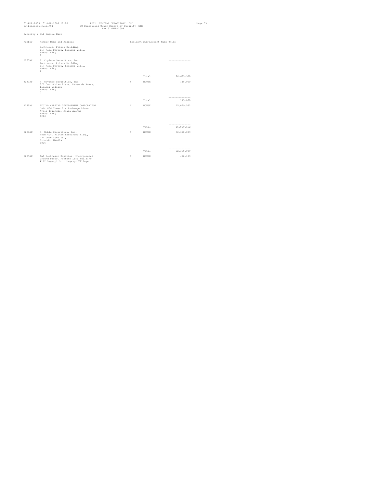| eq_bensecge_r.sql/01 | 01-APR-2009 01-APR-2009 11:20                                                                                                      | PHIL. CENTRAL DEPOSITORY, INC.<br>EQ Beneficial Owner Report by Security (QE) | for 31-MAR-2009 |                                 |                             | Page 33 |
|----------------------|------------------------------------------------------------------------------------------------------------------------------------|-------------------------------------------------------------------------------|-----------------|---------------------------------|-----------------------------|---------|
|                      | Security : ELI Empire East                                                                                                         |                                                                               |                 |                                 |                             |         |
| Member               | Member Name and Address                                                                                                            |                                                                               |                 | Resident Sub-Account Name Units |                             |         |
|                      | Penthouse, Prince Building,<br>117 Rada Street, Legaspi Vill.,<br>Makati City<br>$\Omega$                                          |                                                                               |                 |                                 |                             |         |
| B233AC               | R. Coyiuto Securities, Inc.<br>Penthouse, Prince Building,<br>117 Rada Street, Legaspi Vill.,<br>Makati City<br>$\Omega$           |                                                                               |                 |                                 | -----------------           |         |
|                      |                                                                                                                                    |                                                                               |                 | Total                           | 20,693,950                  |         |
| B233AP               | R. Coyiuto Securities, Inc.<br>5/F Corinthian Plaza, Paseo de Roxas,<br>Legaspi Village<br>Makati City<br>$\Omega$                 |                                                                               | Y               | HOUSE                           | 115,000                     |         |
|                      |                                                                                                                                    |                                                                               |                 | Total                           | ----------------<br>115,000 |         |
| B235AC               | REGINA CAPITAL DEVELOPMENT CORPORATION<br>Unit 806 Tower 1 & Exchange Plaza<br>Ayala Triangle, Ayala Avenue<br>Makati City<br>1226 |                                                                               | Y               | HOUSE                           | 15,099,552                  |         |
|                      |                                                                                                                                    |                                                                               |                 |                                 | ---------------             |         |
|                      |                                                                                                                                    |                                                                               |                 | Total                           | 15,099,552                  |         |
| B236AC               | R. Nubla Securities, Inc.<br>Room 604, Fil-Am Resources Bldg.,<br>231 Juan Luna St.,<br>Binondo, Manila<br>1006                    |                                                                               | Y               | HOUSE                           | 32, 378, 039                |         |
|                      |                                                                                                                                    |                                                                               |                 | Total                           | -----------------           |         |
|                      |                                                                                                                                    |                                                                               |                 |                                 | 32, 378, 039                |         |
| B237AC               | AAA Southeast Equities, Incorporated<br>Ground Floor, Fortune Life Building<br>#162 Legaspi St., Legaspi Village                   |                                                                               | Y               | HOUSE                           | 492,169                     |         |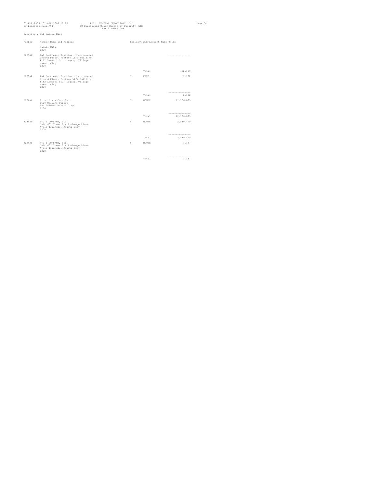| eq_bensecge_r.sql/01 | 01-APR-2009 01-APR-2009 11:20                                                                                                           | PHIL. CENTRAL DEPOSITORY, INC.<br>EQ Beneficial Owner Report by Security (QE)<br>$for 31 - \text{MAR} - 2009$ |   |                                 |                                 | Page 34 |
|----------------------|-----------------------------------------------------------------------------------------------------------------------------------------|---------------------------------------------------------------------------------------------------------------|---|---------------------------------|---------------------------------|---------|
|                      | Security : ELI Empire East                                                                                                              |                                                                                                               |   |                                 |                                 |         |
| Member               | Member Name and Address                                                                                                                 |                                                                                                               |   | Resident Sub-Account Name Units |                                 |         |
|                      | Makati City<br>1229                                                                                                                     |                                                                                                               |   |                                 |                                 |         |
| B237AC               | AAA Southeast Equities, Incorporated<br>Ground Floor, Fortune Life Building<br>#162 Legaspi St., Legaspi Village<br>Makati City<br>1229 |                                                                                                               |   |                                 | -----------------               |         |
|                      |                                                                                                                                         |                                                                                                               |   | Total                           | 492,169                         |         |
| <b>B237AP</b>        | AAA Southeast Equities, Incorporated<br>Ground Floor, Fortune Life Building<br>#162 Legaspi St., Legaspi Village<br>Makati City<br>1229 |                                                                                                               | Y | FREE                            | 2,162                           |         |
|                      |                                                                                                                                         |                                                                                                               |   | Total                           | ----------------<br>2,162       |         |
|                      |                                                                                                                                         |                                                                                                               |   |                                 |                                 |         |
| B238AC               | R. S. Lim & Co., Inc.<br>1509 Galvani Street<br>San Isidro, Makati City<br>1234                                                         |                                                                                                               | Y | HOUSE                           | 12,106,879                      |         |
|                      |                                                                                                                                         |                                                                                                               |   | Total                           | -----------------<br>12,106,879 |         |
| B239AC               | RTG & COMPANY, INC.<br>Unit 602 Tower 1 & Exchange Plaza<br>Avala Triangle, Makati City<br>1200                                         |                                                                                                               | Y | HOUSE                           | 2,839,470                       |         |
|                      |                                                                                                                                         |                                                                                                               |   | Total                           | ---------------<br>2,839,470    |         |
| B239AP               | RTG & COMPANY, INC.<br>Unit 602 Tower 1 & Exchange Plaza<br>Ayala Triangle, Makati City<br>1200                                         |                                                                                                               | Y | HOUSE                           | 1,187                           |         |
|                      |                                                                                                                                         |                                                                                                               |   | Total                           | ------------------              |         |
|                      |                                                                                                                                         |                                                                                                               |   |                                 | 1,187                           |         |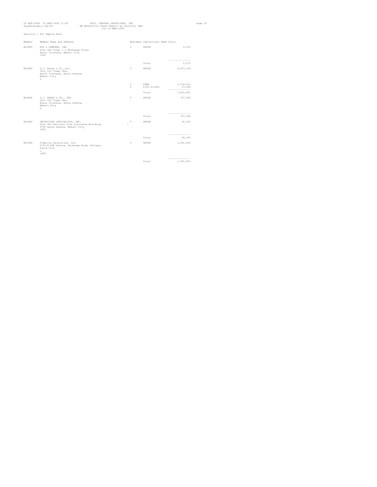|        | 01-APR-2009 01-APR-2009 11:20<br>eq_bensecge_r.sql/01                                                                | PHIL. CENTRAL DEPOSITORY, INC.<br>EQ Beneficial Owner Report by Security (QE)<br>$for 31 - \text{MAR} - 2009$ |         |                                 |                                           | Page 35 |
|--------|----------------------------------------------------------------------------------------------------------------------|---------------------------------------------------------------------------------------------------------------|---------|---------------------------------|-------------------------------------------|---------|
|        | Security : ELI Empire East                                                                                           |                                                                                                               |         |                                 |                                           |         |
| Member | Member Name and Address                                                                                              |                                                                                                               |         | Resident Sub-Account Name Units |                                           |         |
| B239FC | RTG & COMPANY, INC.<br>Unit 602 Tower 1 & Exchange Plaza<br>Ayala Triangle, Makati City<br>1200                      |                                                                                                               | Y.      | HOUSE                           | 2,070                                     |         |
|        |                                                                                                                      |                                                                                                               |         | Total                           | ----------------<br>2,070                 |         |
| B240AC | S.J. Roxas & Co., Inc.<br>Unit 612 Tower One,<br>Ayala Triangle, Ayala Avenue,<br>Makati City<br>$\Omega$            |                                                                                                               | Y       | HOTISE                          | 6,497,146                                 |         |
|        |                                                                                                                      |                                                                                                               | Y<br>Y. | FREE<br>PISI-215283             | 1, 318, 612<br>37,094<br>---------------- |         |
|        |                                                                                                                      |                                                                                                               |         | Total                           | 7,852,852                                 |         |
| B240AP | S.J. ROXAS & CO., INC.<br>Unit 612 Tower One.<br>Ayala Triangle, Ayala Avenue,<br>Makati City<br>$\Omega$            |                                                                                                               | Y       | HOUSE                           | 747,500                                   |         |
|        |                                                                                                                      |                                                                                                               |         | Total                           | -----------------<br>747,500              |         |
| B242AC | SECURITIES SPECIALISTS, INC.<br>Unit 903 National Life Insurance Building,<br>6762 Ayala Avenue, Makati City<br>1000 |                                                                                                               | Y       | HOUSE                           | 45,325                                    |         |
|        |                                                                                                                      |                                                                                                               |         | Total                           | ---------------<br>45,325                 |         |
| B243AC | Fidelity Securities, Inc.<br>2103-B PSE Centre, Exchange Road, Ortigas,<br>Pasiq City<br>$\alpha$<br>1600            |                                                                                                               | Y       | HOUSE                           | 1,991,856                                 |         |
|        |                                                                                                                      |                                                                                                               |         |                                 | ----------------                          |         |
|        |                                                                                                                      |                                                                                                               |         | Total                           | 1,991,856                                 |         |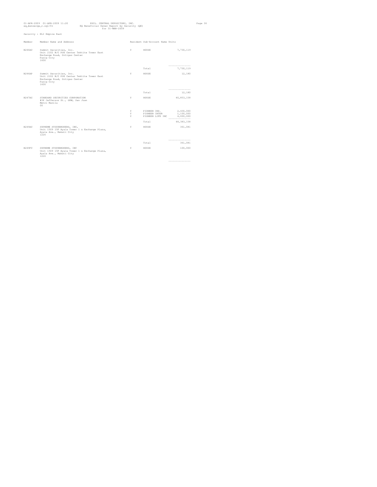|        | 01-APR-2009 01-APR-2009 11:20<br>PHIL. CENTRAL DEPOSITORY, INC.<br>EQ Beneficial Owner Report by Security (QE)<br>eq_bensecqe_r.sql/01<br>for 31-MAR-2009 |   |                                 |                              | Page 36 |
|--------|-----------------------------------------------------------------------------------------------------------------------------------------------------------|---|---------------------------------|------------------------------|---------|
|        | Security : ELI Empire East                                                                                                                                |   |                                 |                              |         |
| Member | Member Name and Address                                                                                                                                   |   | Resident Sub-Account Name Units |                              |         |
| B246AC | Summit Securities, Inc.<br>Unit 2102 B/C PSE Center Tektite Tower East<br>Exchange Road, Ortigas Center<br>Pasiq City<br>1600                             | Y | HOUSE                           | 7,730,119                    |         |
|        |                                                                                                                                                           |   | Total                           | ---------------<br>7,730,119 |         |
| R246AP | Summit Securities, Inc.<br>Unit 2102 B/C PSE Center Tektite Tower East<br>Exchange Road, Ortigas Center<br>Pasiq City<br>1600                             | Y | HOUSE                           | 12,180                       |         |
|        |                                                                                                                                                           |   | Total                           | ---------------<br>12,180    |         |
| R247AC | STANDARD SECURITIES CORPORATION<br>#34 Jefferson St., GHW, San Juan<br>Metro Manila<br>$00 -$                                                             | Y | HOUSE                           | 40,853,158                   |         |
|        |                                                                                                                                                           | Y |                                 | 2,430,000                    |         |
|        |                                                                                                                                                           | Y | PIONEER INS.<br>PIONEER INTER   | 1,100,000                    |         |
|        |                                                                                                                                                           | Y | PIONEER LIFE INC $4,000,000$    |                              |         |
|        |                                                                                                                                                           |   | Total                           | 48, 383, 158                 |         |
| B249AC | SUPREME STOCKBROKERS, INC,<br>Unit 1509 15F Ayala Tower 1 & Exchange Plaza,<br>Avala Ave., Makati City<br>1226                                            | Y | HOUSE                           | 361,081                      |         |
|        |                                                                                                                                                           |   | Total                           | ---------------<br>361,081   |         |
| B249FC | SUPREME STOCKBROKERS, INC<br>Unit 1509 15F Ayala Tower 1 & Exchange Plaza,<br>Ayala Ave., Makati City<br>1226                                             | Y | HOUSE                           | 100,000                      |         |
|        |                                                                                                                                                           |   |                                 | -----------------            |         |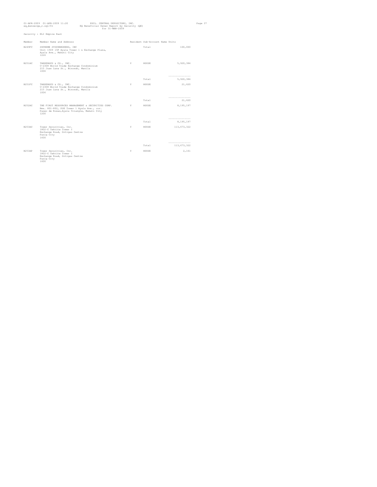|        | 01-APR-2009 01-APR-2009 11:20<br>eq_bensecqe_r.sql/01                                                                                                  | PHIL, CENTRAL DEPOSITORY, INC.<br>EQ Beneficial Owner Report by Security (QE) | for 31-MAR-2009 |                                 |                                  | Page 37 |
|--------|--------------------------------------------------------------------------------------------------------------------------------------------------------|-------------------------------------------------------------------------------|-----------------|---------------------------------|----------------------------------|---------|
|        | Security : ELI Empire East                                                                                                                             |                                                                               |                 |                                 |                                  |         |
| Member | Member Name and Address                                                                                                                                |                                                                               |                 | Resident Sub-Account Name Units |                                  |         |
| B249FC | SUPREME STOCKBROKERS, INC<br>Unit 1509 15F Ayala Tower 1 & Exchange Plaza,<br>Ayala Ave., Makati City<br>1226                                          |                                                                               |                 | Total                           | 100,000                          |         |
| B251AC | TANSENGCO & CO., INC.<br>U-2308 World Trade Exchange Condominium<br>215 Juan Luna St., Binondo, Manila<br>1006                                         |                                                                               | Y.              | HOUSE                           | 5,920,384                        |         |
|        |                                                                                                                                                        |                                                                               |                 | Total                           | ---------------<br>5,920,384     |         |
| B251FC | TANSENGCO & CO., INC.<br>U-2308 World Trade Exchange Condominium<br>215 Juan Luna St., Binondo, Manila<br>1006                                         |                                                                               | Y               | HOUSE                           | 21,620                           |         |
|        |                                                                                                                                                        |                                                                               |                 | Total                           | ----------------<br>21,620       |         |
| B252AC | THE FIRST RESOURCES MANAGEMENT & SECURITIES CORP.<br>Rms. 801-802, PSE Tower 1 Ayala Ave., cor.<br>Paseo de Roxas, Ayala Triangle, Makati City<br>1200 |                                                                               | $\mathbf{Y}$    | HOUSE                           | 8,195,197                        |         |
|        |                                                                                                                                                        |                                                                               |                 | Total                           | -----------------<br>8,195,197   |         |
| B253AC | Tower Securities, Inc.<br>1802-C Tektite Tower I<br>Exchange Road, Ortigas Centre<br>Pasiq City<br>1600                                                |                                                                               | Y               | HOUSE                           | 113, 673, 322                    |         |
|        |                                                                                                                                                        |                                                                               |                 | Total                           | ---------------<br>113, 673, 322 |         |
| B253AP | Tower Securities, Inc.<br>1802-C Tektite Tower I<br>Exchange Road, Ortigas Centre<br>Pasiq City<br>1600                                                |                                                                               | Y               | HOUSE                           | 2,161                            |         |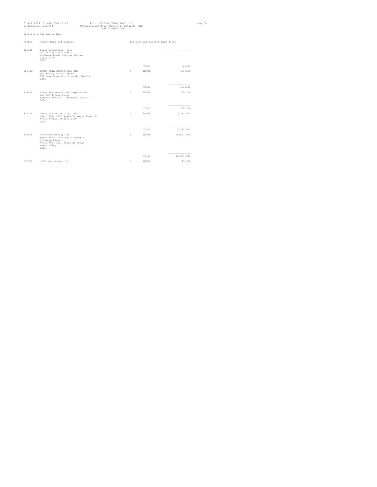| eq_bensecqe_r.sql/01 | 01-APR-2009 01-APR-2009 11:20                                                                                                       | PHIL. CENTRAL DEPOSITORY, INC.<br>EQ Beneficial Owner Report by Security (QE)<br>for 31-MAR-2009 |   |                                 |                                 | Page 38 |
|----------------------|-------------------------------------------------------------------------------------------------------------------------------------|--------------------------------------------------------------------------------------------------|---|---------------------------------|---------------------------------|---------|
|                      | Security : ELI Empire East                                                                                                          |                                                                                                  |   |                                 |                                 |         |
| Member               | Member Name and Address                                                                                                             |                                                                                                  |   | Resident Sub-Account Name Units |                                 |         |
| B253AP               | Tower Securities, Inc.<br>1802-C Tektite Tower I<br>Exchange Road, Ortigas Centre<br>Pasiq City<br>1600                             |                                                                                                  |   |                                 | -----------------               |         |
|                      |                                                                                                                                     |                                                                                                  |   | Total                           | 2,161                           |         |
| B254AC               | TRANS-ASIA SECURITIES, INC.<br>Rm. 601-S, State Centre<br>333 Juan Luna St., Binondo, Manila<br>1006                                |                                                                                                  | Y | HOUSE                           | 121,003                         |         |
|                      |                                                                                                                                     |                                                                                                  |   | Total                           | --------------------<br>121,003 |         |
| B256AC               | Trendline Securities Corporation<br>Rm. 503 Tytana Plaza<br>Lorenzo Ruiz St., Binondo, Manila<br>1006                               |                                                                                                  | Y | HOUSE                           | 225,726                         |         |
|                      |                                                                                                                                     |                                                                                                  |   | Total                           | ----------------<br>225,726     |         |
| B257AC               | TRI-STATE SECURITIES, INC.<br>Unit 1007, 10/F Ayala Triangle Tower I,<br>Ayala Avenue, Makati City<br>1226                          |                                                                                                  | Y | HOUSE                           | 3,232,001                       |         |
|                      |                                                                                                                                     |                                                                                                  |   | Total                           | ---------------<br>3,232,001    |         |
| B259AC               | UCPB Securities, Inc.<br>Suite 1612, 16/F Ayala Tower I<br>Exchange Plaza,<br>Ayala Ave. cor. Paseo de Roxas<br>Makati City<br>1226 |                                                                                                  | Y | HOUSE                           | 10,077,049                      |         |
|                      |                                                                                                                                     |                                                                                                  |   | Total                           | ----------------<br>10,077,049  |         |
| B259FC               | UCPB Securities, Inc.                                                                                                               |                                                                                                  | Y | HOUSE                           | 43,240                          |         |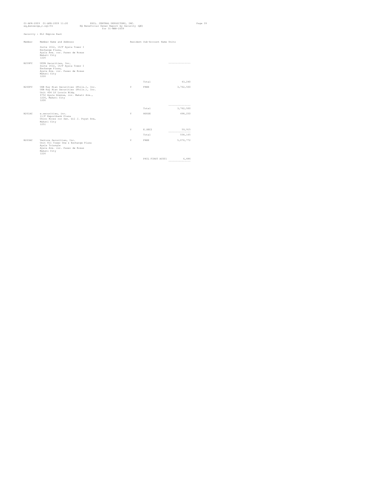| eq_bensecqe_r.sql/01 | 01-APR-2009 01-APR-2009 11:20                                                                                                                                                     | PHIL. CENTRAL DEPOSITORY, INC.<br>EQ Beneficial Owner Report by Security (QE)<br>for 31-MAR-2009 |    |                                 |                               | Page 39 |
|----------------------|-----------------------------------------------------------------------------------------------------------------------------------------------------------------------------------|--------------------------------------------------------------------------------------------------|----|---------------------------------|-------------------------------|---------|
|                      | Security : ELI Empire East                                                                                                                                                        |                                                                                                  |    |                                 |                               |         |
| Member               | Member Name and Address                                                                                                                                                           |                                                                                                  |    | Resident Sub-Account Name Units |                               |         |
|                      | Suite 1612, 16/F Ayala Tower I<br>Exchange Plaza,<br>Ayala Ave. cor. Paseo de Roxas<br>Makati City<br>1226                                                                        |                                                                                                  |    |                                 |                               |         |
| B259FC               | UCPB Securities, Inc.<br>Suite 1612, 16/F Ayala Tower I<br>Exchange Plaza,<br>Ayala Ave. cor. Paseo de Roxas<br>Makati City<br>1226                                               |                                                                                                  |    |                                 | --------------------          |         |
|                      |                                                                                                                                                                                   |                                                                                                  |    | Total                           | 43,240                        |         |
| B260FC               | UOB Kay Hian Securities (Phils.), Inc.<br>UOB Kay Hian Securities (Phils.), Inc.<br>Unit 404 LV Locsin Bldg.<br>6752 Ayala Avenue, cor. Makati Ave.,<br>1226, Makati City<br>1200 |                                                                                                  | Y  | FREE                            | 3,762,500                     |         |
|                      |                                                                                                                                                                                   |                                                                                                  |    | Total                           | ----------------<br>3,762,500 |         |
| B261AC               | e.securities, inc.<br>11/F Exportbank Plaza<br>Chino Roces cor Sen. Gil J. Puyat Ave,<br>Makati City<br>1251                                                                      |                                                                                                  | Y  | HOUSE                           | 498,250                       |         |
|                      |                                                                                                                                                                                   |                                                                                                  | Y. | E.SEC2                          | 59,915<br>----------------    |         |
|                      |                                                                                                                                                                                   |                                                                                                  |    | Total                           | 558,165                       |         |
| B263AC               | Venture Securities, Inc.<br>Unit 811 Tower One & Exchange Plaza<br>Ayala Triangle<br>Ayala Ave. cor. Paseo de Roxas<br>Makati City<br>1226                                        |                                                                                                  | Y  | FREE                            | 5,076,772                     |         |

**Y** PHIL FIRST AC001 6,486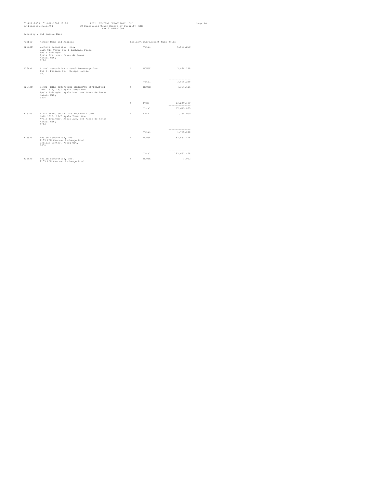|               | 01-APR-2009 01-APR-2009 11:20<br>eq_bensecqe_r.sql/01                                                                                                   | PHIL. CENTRAL DEPOSITORY, INC.<br>EQ Beneficial Owner Report by Security (QE) | for 31-MAR-2009 |                                 |                                   | Page 40 |
|---------------|---------------------------------------------------------------------------------------------------------------------------------------------------------|-------------------------------------------------------------------------------|-----------------|---------------------------------|-----------------------------------|---------|
|               | Security : ELI Empire East                                                                                                                              |                                                                               |                 |                                 |                                   |         |
| Member        | Member Name and Address                                                                                                                                 |                                                                               |                 | Resident Sub-Account Name Units |                                   |         |
| B263AC        | Venture Securities, Inc.<br>Unit 811 Tower One & Exchange Plaza<br>Ayala Triangle<br>Ayala Ave. cor. Paseo de Roxas<br>Makati City<br>1226              |                                                                               |                 | Total                           | 5,083,258                         |         |
| B266AC        | Vicsal Securities & Stock Brokerage, Inc.<br>658 C. Palanca St., Quiapo, Manila<br>1001                                                                 |                                                                               | Y               | HOUSE                           | 3,878,248                         |         |
|               |                                                                                                                                                         |                                                                               |                 | Total                           | ----------------<br>3,878,248     |         |
| <b>B267AC</b> | FIRST METRO SECURITIES BROKERAGE CORPORATION<br>Unit 1515, 15/F Ayala Tower One<br>Ayala Triangle, Ayala Ave. cor Paseo de Roxas<br>Makati City<br>1226 |                                                                               | Y.              | HOUSE                           | 4,366,615                         |         |
|               |                                                                                                                                                         |                                                                               | Y               | FREE.                           | 13,249,190<br>------------------- |         |
|               |                                                                                                                                                         |                                                                               |                 | Total                           | 17,615,805                        |         |
| <b>B267FC</b> | FIRST METRO SECURITIES BROKERAGE CORP.<br>Unit 1515, 15/F Ayala Tower One<br>Ayala Triangle, Ayala Ave. cor Paseo de Roxas<br>Makati City<br>1226       |                                                                               | Y               | FREE                            | 1,755,000                         |         |
|               |                                                                                                                                                         |                                                                               |                 | Total                           | ----------------<br>1,755,000     |         |
| B269AC        | Wealth Securities, Inc.<br>2103 PSE Centre, Exchange Road<br>Ortigas Centre, Pasig City<br>1600                                                         |                                                                               | Y.              | HOUSE                           | 133, 663, 478                     |         |
|               |                                                                                                                                                         |                                                                               |                 | Total                           | ----------------<br>133,663,478   |         |
| B269AP        | Wealth Securities, Inc.<br>2103 PSE Centre, Exchange Road                                                                                               |                                                                               | Y               | HOUSE                           | 1,012                             |         |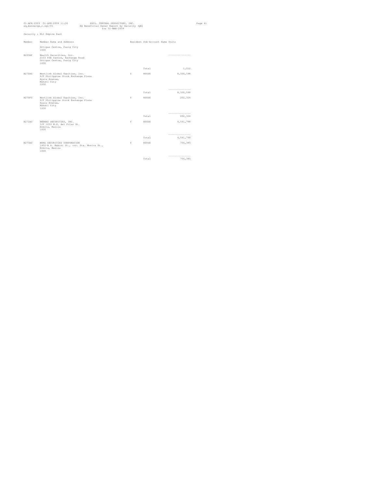|        | 01-APR-2009 01-APR-2009 11:20<br>eq_bensecge_r.sql/01                                                         | EQ Beneficial Owner Report by Security (QE) | PHIL. CENTRAL DEPOSITORY, INC.<br>$for 31 - \text{MAR} - 2009$ |   |                                 |                              | Page 41 |
|--------|---------------------------------------------------------------------------------------------------------------|---------------------------------------------|----------------------------------------------------------------|---|---------------------------------|------------------------------|---------|
|        | Security : ELI Empire East                                                                                    |                                             |                                                                |   |                                 |                              |         |
| Member | Member Name and Address                                                                                       |                                             |                                                                |   | Resident Sub-Account Name Units |                              |         |
|        | Ortigas Centre, Pasig City<br>1600                                                                            |                                             |                                                                |   |                                 |                              |         |
| B269AP | Wealth Securities, Inc.<br>2103 PSE Centre, Exchange Road<br>Ortigas Centre, Pasig City<br>1600               |                                             |                                                                |   |                                 | -----------------            |         |
|        |                                                                                                               |                                             |                                                                |   | Total                           | 1,012                        |         |
| B270AC | Westlink Global Equities, Inc.<br>6/F Philippine Stock Exchange Plaza<br>Ayala Avenue,<br>Makati City<br>1200 |                                             |                                                                | Y | HOUSE                           | 8,330,598                    |         |
|        |                                                                                                               |                                             |                                                                |   | Total                           | ---------------<br>8,330,598 |         |
| B270FC | Westlink Global Equities, Inc.<br>6/F Philippine Stock Exchange Plaza<br>Ayala Avenue,<br>Makati City<br>1200 |                                             |                                                                | Y | HOUSE                           | 202,324                      |         |
|        |                                                                                                               |                                             |                                                                |   |                                 | -----------------            |         |
| B272AC | BERNAD SECURITIES, INC.<br>3/F 1033 M.H. del Pilar St.<br>Ermita, Manila<br>1000                              |                                             |                                                                | Y | Total<br>HOUSE                  | 202,324<br>4,541,798         |         |
|        |                                                                                                               |                                             |                                                                |   | Total                           | ---------------<br>4,541,798 |         |
| B273AC | WONG SECURITIES CORPORATION<br>1402-B A. Mabini St., cor. Sta. Monica St.,<br>Ermita, Manila<br>1000          |                                             |                                                                | Y | HOUSE                           | 756,385                      |         |
|        |                                                                                                               |                                             |                                                                |   | Total                           | ----------------<br>756,385  |         |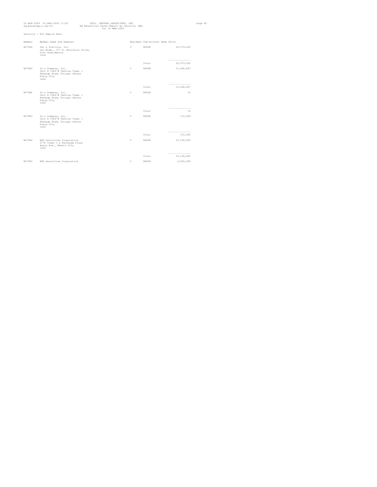| eq_bensecge_r.sql/01 | 01-APR-2009 01-APR-2009 11:20                                                                             | PHIL. CENTRAL DEPOSITORY, INC.<br>EQ Beneficial Owner Report by Security (QE)<br>$for 31 - \text{MAR} - 2009$ |   |                                 |                                  | Page 42 |
|----------------------|-----------------------------------------------------------------------------------------------------------|---------------------------------------------------------------------------------------------------------------|---|---------------------------------|----------------------------------|---------|
|                      | Security : ELI Empire East                                                                                |                                                                                                               |   |                                 |                                  |         |
| Member               | Member Name and Address                                                                                   |                                                                                                               |   | Resident Sub-Account Name Units |                                  |         |
| B275AC               | Yao & Zialcita, Inc.<br>Yao Bldg., 577 A. Bonifacio Drive,<br>Port Area, Manila<br>1018                   |                                                                                                               | Y | HOUSE                           | 30, 979, 202                     |         |
|                      |                                                                                                           |                                                                                                               |   | Total                           | ---------------<br>30,979,202    |         |
| B278AC               | Yu & Company, Inc.<br>Unit E 1606-B Tektite Tower 1<br>Exhange Road, Ortigas Center<br>Pasiq City<br>1600 |                                                                                                               | Y | HOUSE                           | 15,948,887                       |         |
|                      |                                                                                                           |                                                                                                               |   | Total                           | ---------------<br>15,948,887    |         |
| B278AP               | Yu & Company, Inc.<br>Unit E 1606-B Tektite Tower 1<br>Exhange Road, Ortigas Center<br>Pasiq City<br>1600 |                                                                                                               | Y | HOUSE                           | 14                               |         |
|                      |                                                                                                           |                                                                                                               |   | Total                           | ----------------<br>14           |         |
| B278FC               | Yu & Company, Inc.<br>Unit E 1606-B Tektite Tower 1<br>Exhange Road, Ortigas Center<br>Pasiq City<br>1600 |                                                                                                               | Y | HOUSE                           | 115,000                          |         |
|                      |                                                                                                           |                                                                                                               |   | Total                           | ---------------<br>115,000       |         |
| B279AC               | BDO Securities Corporation<br>27/F Tower I & Exchange Plaza<br>Ayala Ave., Makati City<br>1226            |                                                                                                               | Y | HOUSE                           | 33,196,845                       |         |
|                      |                                                                                                           |                                                                                                               |   | Total                           | ----------------<br>33, 196, 845 |         |
| B279FC               | BDO Securities Corporation                                                                                |                                                                                                               | Y | HOUSE                           | 2,050,000                        |         |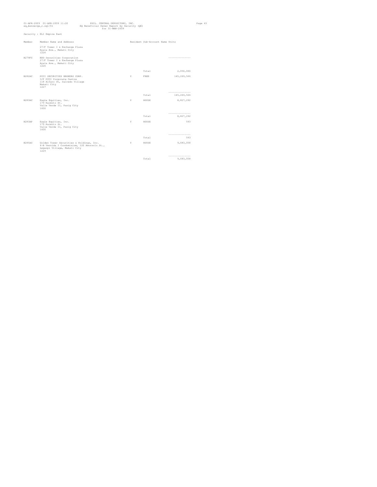| eq_bensecge_r.sql/01 | 01-APR-2009 01-APR-2009 11:20                                                                                                    | PHIL. CENTRAL DEPOSITORY, INC.<br>EQ Beneficial Owner Report by Security (QE)<br>$for 31 - \text{MAR} - 2009$ |   |                                 |                                 | Page 43 |
|----------------------|----------------------------------------------------------------------------------------------------------------------------------|---------------------------------------------------------------------------------------------------------------|---|---------------------------------|---------------------------------|---------|
|                      | Security : ELI Empire East                                                                                                       |                                                                                                               |   |                                 |                                 |         |
| Member               | Member Name and Address                                                                                                          |                                                                                                               |   | Resident Sub-Account Name Units |                                 |         |
|                      | 27/F Tower I & Exchange Plaza<br>Ayala Ave., Makati City<br>1226                                                                 |                                                                                                               |   |                                 |                                 |         |
| B279FC               | BDO Securities Corporation<br>27/F Tower I & Exchange Plaza<br>Ayala Ave., Makati City<br>1226                                   |                                                                                                               |   |                                 | ---------------                 |         |
|                      |                                                                                                                                  |                                                                                                               |   | Total                           | 2,050,000                       |         |
| B282AC               | PCCI SECURITIES BROKERS CORP.<br>3/F PCCI Corporate Centre<br>118 Alfaro St, Salcedo Village<br>Makati City<br>1227              |                                                                                                               | Y | FREE                            | 145,269,566                     |         |
|                      |                                                                                                                                  |                                                                                                               |   | Total                           | ----------------<br>145,269,566 |         |
| B283AC               | Eagle Equities, Inc.<br>179 Kaimito St.<br>Valle Verde II, Pasiq City<br>1600                                                    |                                                                                                               | Y | HOUSE                           | 8,827,292                       |         |
|                      |                                                                                                                                  |                                                                                                               |   |                                 |                                 |         |
|                      |                                                                                                                                  |                                                                                                               |   | Total                           | 8,827,292                       |         |
| <b>B283AP</b>        | Eagle Equities, Inc.<br>179 Kaimito St.<br>Valle Verde II, Pasiq City<br>1600                                                    |                                                                                                               | Y | HOUSE                           | 593                             |         |
|                      |                                                                                                                                  |                                                                                                               |   | Total                           | ---------------<br>593          |         |
| B285AC               | Golden Tower Securities & Holdings, Inc.<br>4-B Vernida I Condominium, 120 Amorsolo St.,<br>Legaspi Village, Makati City<br>1229 |                                                                                                               | Y | HOUSE                           | 9,083,058                       |         |
|                      |                                                                                                                                  |                                                                                                               |   |                                 |                                 |         |
|                      |                                                                                                                                  |                                                                                                               |   | Total                           | 9,083,058                       |         |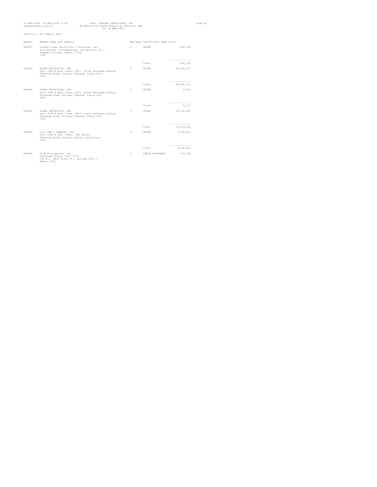|               | 01-APR-2009 01-APR-2009 11:20<br>PHIL. CENTRAL DEPOSITORY, INC.<br>eq_bensecqe_r.sql/01<br>EQ Beneficial Owner Report by Security (QE)<br>for 31-MAR-2009 |          |                                 |                                  | Page 44 |
|---------------|-----------------------------------------------------------------------------------------------------------------------------------------------------------|----------|---------------------------------|----------------------------------|---------|
|               | Security : ELI Empire East                                                                                                                                |          |                                 |                                  |         |
| Member        | Member Name and Address                                                                                                                                   |          | Resident Sub-Account Name Units |                                  |         |
| B285FC        | Golden Tower Securities & Holdings, Inc.<br>4-B Vernida I Condominium, 120 Amorsolo St.,<br>Legaspi Village, Makati City<br>1229                          | <b>Y</b> | HOUSE                           | 285,230                          |         |
|               |                                                                                                                                                           |          | Total                           | ---------------<br>285,230       |         |
| B286AC        | SOLAR SECURITIES, INC.<br>Unit 3002-A East Tower, Phil. Stock Exchange Centre,<br>Exchange Road, Ortigas Complex, Pasig City<br>1605                      | Y        | HOUSE                           | 66, 822, 173                     |         |
|               |                                                                                                                                                           |          | Total                           | ----------------<br>66, 822, 173 |         |
| <b>B286AP</b> | SOLAR SECURITIES, INC.<br>Unit 3002-A East Tower, Phil. Stock Exchange Centre,<br>Exchange Road, Ortigas Complex, Pasig City<br>1605                      | Y        | HOUSE                           | 8,212                            |         |
|               |                                                                                                                                                           |          |                                 | ---------------                  |         |
|               |                                                                                                                                                           |          | Total                           | 8,212                            |         |
| B286FC        | SOLAR SECURITIES, INC.<br>Unit 3002-A East Tower, Phil. Stock Exchange Centre,<br>Exchange Road, Ortigas Complex, Pasig City<br>1605                      | Y        | HOUSE                           | 19,550,000                       |         |
|               |                                                                                                                                                           |          | Total                           | ---------------<br>19,550,000    |         |
| R288AC        | G.D. TAN & COMPANY, INC.<br>Unit 2203-A East Tower, PSE Center<br>Exchange Road, Ortigas Center, Pasig City<br>1600                                       | Y        | HOIISE                          | 3,700,821                        |         |
|               |                                                                                                                                                           |          |                                 | ----------------                 |         |
|               |                                                                                                                                                           |          | Total                           | 3,700,821                        |         |
| B323AC        | CLSA Philippines, Inc.<br>Trafalgar Plaza, Unit 17-D,<br>105 H.V. dela Costa St., Salcedo Vill.,<br>Makati City                                           | Y        | PERLA INSURANCE                 | 318,240                          |         |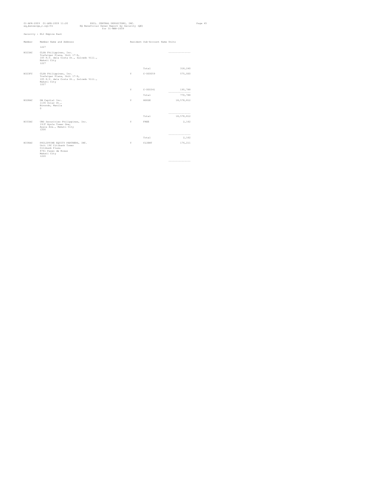| eq_bensecqe_r.sql/01 | 01-APR-2009 01-APR-2009 11:20                                                                                               | PHIL. CENTRAL DEPOSITORY, INC.<br>EQ Beneficial Owner Report by Security (QE)<br>for 31-MAR-2009 |   |                                 |                               | Page 45 |
|----------------------|-----------------------------------------------------------------------------------------------------------------------------|--------------------------------------------------------------------------------------------------|---|---------------------------------|-------------------------------|---------|
|                      | Security : ELI Empire East                                                                                                  |                                                                                                  |   |                                 |                               |         |
| Member               | Member Name and Address                                                                                                     |                                                                                                  |   | Resident Sub-Account Name Units |                               |         |
|                      | 1227                                                                                                                        |                                                                                                  |   |                                 |                               |         |
| B323AC               | CLSA Philippines, Inc.<br>Trafalgar Plaza, Unit 17-D,<br>105 H.V. dela Costa St., Salcedo Vill.,<br>Makati City<br>1227     |                                                                                                  |   |                                 | ------------------            |         |
|                      |                                                                                                                             |                                                                                                  |   | Total                           | 318,240                       |         |
| B323FC               | CLSA Philippines, Inc.<br>Trafalgar Plaza, Unit 17-D,<br>105 H.V. dela Costa St., Salcedo Vill.,<br>Makati City<br>1227     |                                                                                                  | Y | $C - 000059$                    | 575,000                       |         |
|                      |                                                                                                                             |                                                                                                  | Y | $C - 000341$                    | 195,788<br>----------------   |         |
|                      |                                                                                                                             |                                                                                                  |   | Total                           | 770,788                       |         |
| B328AC               | DW Capital Inc.<br>1136 Solar St.,<br>Binondo, Manila<br>$\Omega$                                                           |                                                                                                  | Y | HOUSE                           | 18,578,812                    |         |
|                      |                                                                                                                             |                                                                                                  |   | Total                           | ---------------<br>18,578,812 |         |
| B333AC               | UBS Securities Philippines, Inc.<br>19/F Ayala Tower One,<br>Ayala Ave., Makati City<br>1200                                |                                                                                                  | Y | FREE                            | 2,162                         |         |
|                      |                                                                                                                             |                                                                                                  |   | Total                           | -----------------<br>2,162    |         |
|                      |                                                                                                                             |                                                                                                  |   |                                 |                               |         |
| B338AC               | PHILIPPINE EQUITY PARTNERS, INC.<br>Unit 19C Citibank Tower<br>Citibank Plaza<br>8741 Paseo de Roxas<br>Makati City<br>1226 |                                                                                                  | Y | CLIENT                          | 176,211                       |         |

---------------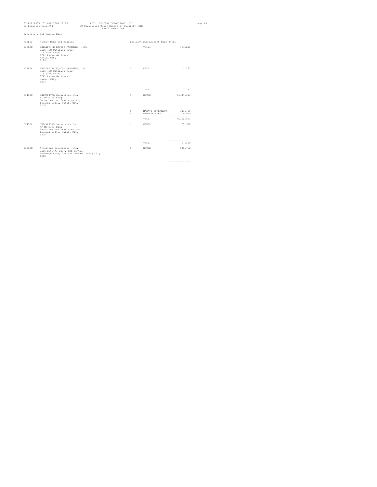|        | $01-APR-2009$ $01-APR-2009$ $11:20$<br>eq_bensecqe_r.sql/01                                                                 | PHIL. CENTRAL DEPOSITORY, INC.<br>EQ Beneficial Owner Report by Security (QE)<br>for 31-MAR-2009 |          |                                                  |                               | Page 46 |
|--------|-----------------------------------------------------------------------------------------------------------------------------|--------------------------------------------------------------------------------------------------|----------|--------------------------------------------------|-------------------------------|---------|
|        | Security : ELI Empire East                                                                                                  |                                                                                                  |          |                                                  |                               |         |
| Member | Member Name and Address                                                                                                     |                                                                                                  |          | Resident Sub-Account Name Units                  |                               |         |
| B338AC | PHILIPPINE EQUITY PARTNERS, INC.<br>Unit 19C Citibank Tower<br>Citibank Plaza<br>8741 Paseo de Roxas<br>Makati City<br>1226 |                                                                                                  |          | Total                                            | 176,211                       |         |
| B338AP | PHILIPPINE EQUITY PARTNERS, INC.<br>Unit 19C Citibank Tower<br>Citibank Plaza<br>8741 Paseo de Roxas<br>Makati City<br>1226 |                                                                                                  | <b>Y</b> | FREE                                             | 2,753                         |         |
|        |                                                                                                                             |                                                                                                  |          | Total                                            | ----------------<br>2,753     |         |
|        |                                                                                                                             |                                                                                                  |          |                                                  |                               |         |
| B345AC | UNICAPITAL Securities Inc.<br>4F Majalco Bldg<br>Benavidez cor Trasierra Sts<br>Legaspi Vill., Makati City<br>1200          |                                                                                                  | Y        | HOUSE                                            | 8,649,313                     |         |
|        |                                                                                                                             |                                                                                                  | Y.<br>Y. | MAKATI SUPERMART 313,490<br>PIONEER LIFE 200,000 |                               |         |
|        |                                                                                                                             |                                                                                                  |          | Total                                            | ----------------<br>9,162,803 |         |
| B345FC | UNICAPITAL Securities Inc.<br>4F Majalco Bldg<br>Benavidez cor Trasierra Sts<br>Legaspi Vill., Makati City<br>1200          |                                                                                                  | Y.       | HOUSE                                            | 57,500                        |         |
|        |                                                                                                                             |                                                                                                  |          | Total                                            | ---------------<br>57,500     |         |
| B388AC | Armstrong Securities, Inc.<br>Unit 2205-A, 22/F, PSE Centre<br>Exchange Road, Ortigas Centre, Pasig City<br>1600            |                                                                                                  | Y        | HOUSE                                            | 510,752                       |         |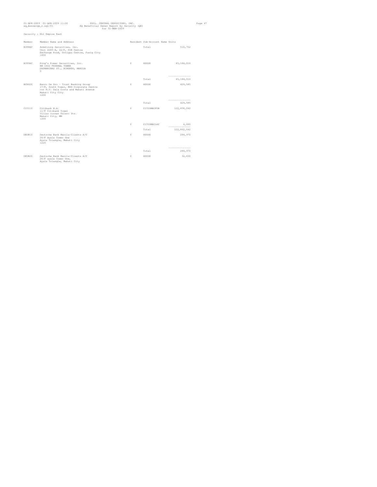|        | 01-APR-2009 01-APR-2009 11:20<br>eq_bensecqe_r.sql/01                                                                                              | PHIL. CENTRAL DEPOSITORY, INC.<br>EQ Beneficial Owner Report by Security (QE)<br>$for 31 - \text{MAR} - 2009$ |    |                                 |                               | Page 47 |
|--------|----------------------------------------------------------------------------------------------------------------------------------------------------|---------------------------------------------------------------------------------------------------------------|----|---------------------------------|-------------------------------|---------|
|        | Security : ELI Empire East                                                                                                                         |                                                                                                               |    |                                 |                               |         |
| Member | Member Name and Address                                                                                                                            |                                                                                                               |    | Resident Sub-Account Name Units |                               |         |
| B388AC | Armstrong Securities, Inc.<br>Unit 2205-A, 22/F, PSE Centre<br>Exchange Road, Ortigas Centre, Pasig City<br>1600                                   |                                                                                                               |    | Total                           | 510,752                       |         |
| B389AC | King's Power Securities, Inc.<br>RM 1602 FEDERAL TOWER<br>DASMARINAS ST., BINONDO, MANILA<br>$^{\circ}$                                            |                                                                                                               | Y  | HOUSE                           | 45, 184, 016                  |         |
|        |                                                                                                                                                    |                                                                                                               |    | Total                           | ---------------<br>45,184,016 |         |
| BCDO20 | Banco De Oro - Trust Banking Group<br>17/F, South Tower, BDO Corporate Centre<br>cor H.V. Dela Costa and Makati Avenue<br>Makati City City<br>1200 |                                                                                                               | Y  | HOUSE                           | 429,585                       |         |
|        |                                                                                                                                                    |                                                                                                               |    | Total                           | ---------------<br>429,585    |         |
| CITI10 | Citibank N.A.<br>11/F Citibank Tower<br>Villar corner Valero Sts.<br>Makati City, MM<br>1200                                                       |                                                                                                               | Y. |                                 | CITIOMNIFOR 122,858,042       |         |
|        |                                                                                                                                                    |                                                                                                               | Y. | CITIOMNILOC                     | 4,600<br>---------------      |         |
|        |                                                                                                                                                    |                                                                                                               |    | Total                           | 122,862,642                   |         |
| DEUB10 | Deutsche Bank Manila-Clients A/C<br>26/F Ayala Tower One<br>Ayala Triangle, Makati City<br>1226                                                    |                                                                                                               | Y  | HOUSE                           | 284,970                       |         |
|        |                                                                                                                                                    |                                                                                                               |    | Total                           | ---------------<br>284,970    |         |
| DEUB20 | Deutsche Bank Manila-Clients A/C<br>26/F ayala Tower One,<br>Ayala Triangle, Makati City                                                           |                                                                                                               | Y  | HOUSE                           | 32,430                        |         |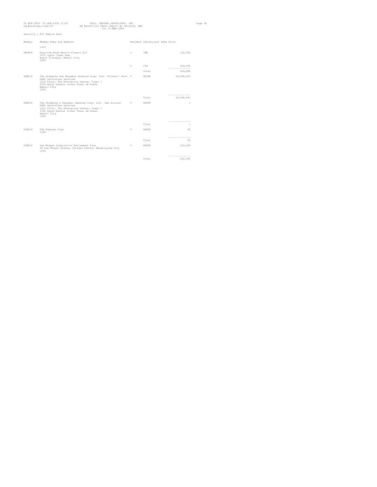|         | 01-APR-2009 01-APR-2009 11:20<br>PHIL. CENTRAL DEPOSITORY, INC.<br>eq_bensecge_r.sql/01<br>EQ Beneficial Owner Report by Security (QE)<br>for 31-MAR-2009                                                  |    |                                 |                                | Page 48 |
|---------|------------------------------------------------------------------------------------------------------------------------------------------------------------------------------------------------------------|----|---------------------------------|--------------------------------|---------|
|         | Security : ELI Empire East                                                                                                                                                                                 |    |                                 |                                |         |
| Member  | Member Name and Address                                                                                                                                                                                    |    | Resident Sub-Account Name Units |                                |         |
|         | 1226                                                                                                                                                                                                       |    |                                 |                                |         |
| DEIIB20 | Deutsche Bank Manila-Clients A/C<br>26/F ayala Tower One,<br>Ayala Triangle, Makati City<br>1226                                                                                                           | Y  | TMA                             | 122,500                        |         |
|         |                                                                                                                                                                                                            | Y. | VTA.                            | 409,952<br>----------------    |         |
|         |                                                                                                                                                                                                            |    | Total                           | 564,882                        |         |
| HSBC10  | The Hongkong and Shanghai Banking Corp. Ltd. -Clients' Acct. Y<br>HSBC Securities Services<br>12th Floor, The Enterprise Center, Tower I<br>6766 Ayala Avenue corner Paseo de Roxas<br>Makati City<br>1200 |    | HOUSE                           | 22,098,831                     |         |
|         |                                                                                                                                                                                                            |    | Total                           | ----------------<br>22,098,831 |         |
| HSBC30  | The Hongkong & Shanghai Banking Corp. Ltd. -Own Account Y<br>HSBC Securities Services<br>12th Floor, The Enterprise Center, Tower I<br>6766 Ayala Avenue corner Paseo de Roxas<br>Makati City<br>1200      |    | HOUSE                           | $\mathbf{1}$                   |         |
|         |                                                                                                                                                                                                            |    |                                 | -----------------              |         |
|         |                                                                                                                                                                                                            |    | Total                           | $\mathbf{1}$                   |         |
| PCNC10  | PCD Nominee Corp<br>1200                                                                                                                                                                                   | Y  | HOUSE                           | 82                             |         |
|         |                                                                                                                                                                                                            |    | Total                           | ------------------<br>82       |         |
| PSMC10  | San Miquel Corporation Retirement Plan<br>40 San Miquel Avenue, Ortigas Center, Mandaluyong City<br>1550                                                                                                   | Y  | HOUSE                           | 222,500                        |         |
|         |                                                                                                                                                                                                            |    |                                 | ------------------             |         |
|         |                                                                                                                                                                                                            |    | Total                           | 222,500                        |         |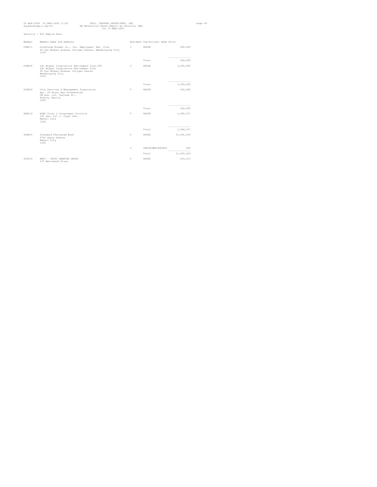| 01-APR-2009 01-APR-2009 11:20<br>PHIL. CENTRAL DEPOSITORY, INC.<br>EQ Beneficial Owner Report by Security (QE)<br>eq_bensecge_r.sql/01<br>for 31-MAR-2009 |                                                                                                                                                          |   |                                 |                              | Page 49 |
|-----------------------------------------------------------------------------------------------------------------------------------------------------------|----------------------------------------------------------------------------------------------------------------------------------------------------------|---|---------------------------------|------------------------------|---------|
|                                                                                                                                                           | Security : ELI Empire East                                                                                                                               |   |                                 |                              |         |
| Member                                                                                                                                                    | Member Name and Address                                                                                                                                  |   | Resident Sub-Account Name Units |                              |         |
| PSMC11                                                                                                                                                    | Purefoods-Hormel Co., Inc. Employees' Ret. Plan<br>40 San Miquel Avenue, Ortigas Center, Mandaluyong City<br>1550                                        | Y | HOUSE                           | 600,000                      |         |
|                                                                                                                                                           |                                                                                                                                                          |   | Total                           | ---------------<br>600,000   |         |
| PSMC20                                                                                                                                                    | San Miquel Corporation Retirement Plan-STP<br>San Miquel Corporation Retirement Plan<br>40 San Miquel Avenue, Ortigas Center<br>Mandaluvong City<br>1550 | Y | HOUSE                           | 3,200,000                    |         |
|                                                                                                                                                           |                                                                                                                                                          |   | Total                           | ---------------<br>3,200,000 |         |
| PVSM10                                                                                                                                                    | Vica Services & Management Corporation<br>Apt. 29 Royal Bay Condominium<br>UN Ave. cor. Cartada St.,<br>Ermita, Manila<br>1004                           | Y | HOUSE                           | 920,000                      |         |
|                                                                                                                                                           |                                                                                                                                                          |   | Total                           | ---------------<br>920,000   |         |
| RCBC10                                                                                                                                                    | RCBC Trust & Investment Division<br>333 Sen. Gil J. Puyat Ave.<br>Makati City<br>1200                                                                    | Y | HOUSE                           | 1,008,971                    |         |
|                                                                                                                                                           |                                                                                                                                                          |   | Total                           | ---------------<br>1,008,971 |         |
| SCBK10                                                                                                                                                    | Standard Chartered Bank<br>6756 Ayala Avenue<br>Makati City<br>1200                                                                                      | Y | HOUSE                           | 51,691,556                   |         |
|                                                                                                                                                           |                                                                                                                                                          | Y | UNCLAIMED/EXCESS                | 864<br>----------------      |         |
|                                                                                                                                                           |                                                                                                                                                          |   | Total                           | 51,692,420                   |         |
| SCTD10                                                                                                                                                    | MBTC - TRUST BANKING GROUP<br>5/F Metrobank Plaza                                                                                                        | Y | HOUSE                           | 243,013                      |         |